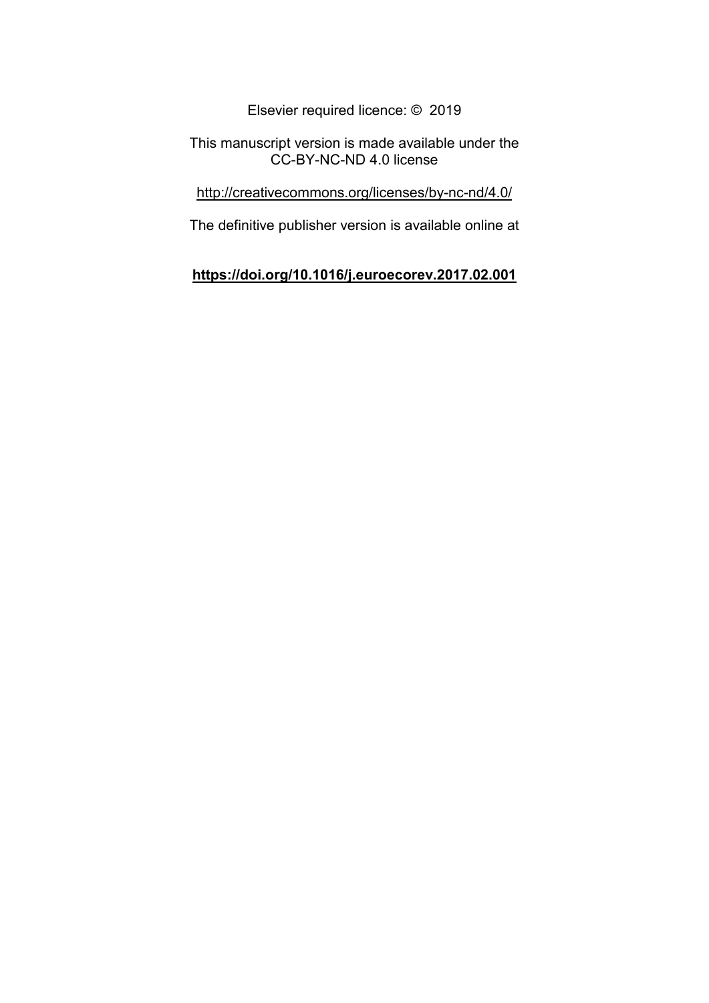Elsevier required licence: © 2019

This manuscript version is made available under the CC-BY-NC-ND 4.0 license

<http://creativecommons.org/licenses/by-nc-nd/4.0/>

The definitive publisher version is available online at

# **<https://doi.org/10.1016/j.euroecorev.2017.02.001>**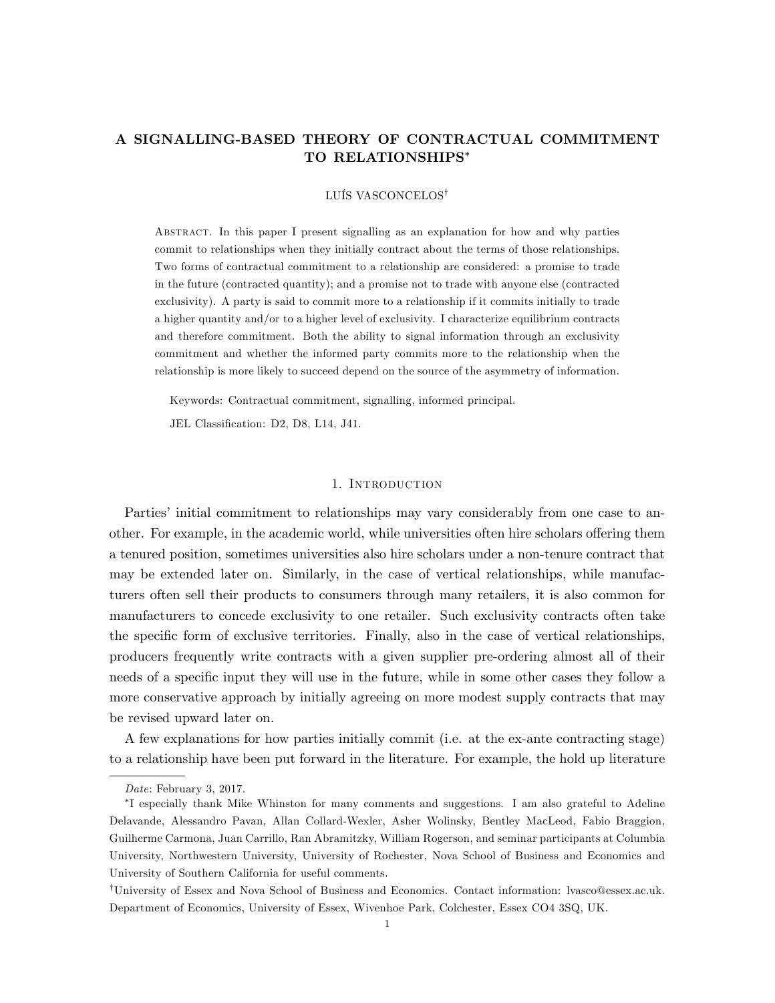## A SIGNALLING-BASED THEORY OF CONTRACTUAL COMMITMENT TO RELATIONSHIPS

## LUÍS VASCONCELOS<sup>†</sup>

Abstract. In this paper I present signalling as an explanation for how and why parties commit to relationships when they initially contract about the terms of those relationships. Two forms of contractual commitment to a relationship are considered: a promise to trade in the future (contracted quantity); and a promise not to trade with anyone else (contracted exclusivity). A party is said to commit more to a relationship if it commits initially to trade a higher quantity and/or to a higher level of exclusivity. I characterize equilibrium contracts and therefore commitment. Both the ability to signal information through an exclusivity commitment and whether the informed party commits more to the relationship when the relationship is more likely to succeed depend on the source of the asymmetry of information.

Keywords: Contractual commitment, signalling, informed principal.

JEL Classification: D2, D8, L14, J41.

## 1. Introduction

Parties' initial commitment to relationships may vary considerably from one case to another. For example, in the academic world, while universities often hire scholars offering them a tenured position, sometimes universities also hire scholars under a non-tenure contract that may be extended later on. Similarly, in the case of vertical relationships, while manufacturers often sell their products to consumers through many retailers, it is also common for manufacturers to concede exclusivity to one retailer. Such exclusivity contracts often take the specific form of exclusive territories. Finally, also in the case of vertical relationships, producers frequently write contracts with a given supplier pre-ordering almost all of their needs of a specific input they will use in the future, while in some other cases they follow a more conservative approach by initially agreeing on more modest supply contracts that may be revised upward later on.

A few explanations for how parties initially commit (i.e. at the ex-ante contracting stage) to a relationship have been put forward in the literature. For example, the hold up literature

Date: February 3, 2017.

I especially thank Mike Whinston for many comments and suggestions. I am also grateful to Adeline Delavande, Alessandro Pavan, Allan Collard-Wexler, Asher Wolinsky, Bentley MacLeod, Fabio Braggion, Guilherme Carmona, Juan Carrillo, Ran Abramitzky, William Rogerson, and seminar participants at Columbia University, Northwestern University, University of Rochester, Nova School of Business and Economics and University of Southern California for useful comments.

<sup>&</sup>lt;sup>†</sup>University of Essex and Nova School of Business and Economics. Contact information: lvasco@essex.ac.uk. Department of Economics, University of Essex, Wivenhoe Park, Colchester, Essex CO4 3SQ, UK.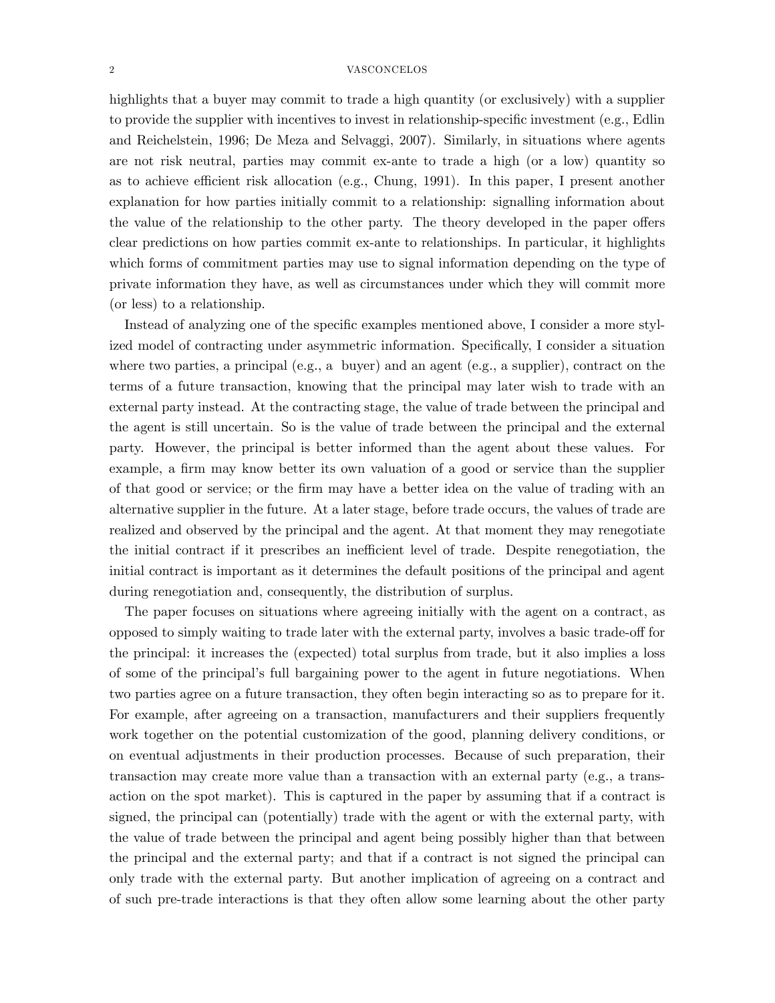highlights that a buyer may commit to trade a high quantity (or exclusively) with a supplier to provide the supplier with incentives to invest in relationship-specific investment (e.g., Edlin and Reichelstein, 1996; De Meza and Selvaggi, 2007). Similarly, in situations where agents are not risk neutral, parties may commit ex-ante to trade a high (or a low) quantity so as to achieve efficient risk allocation (e.g., Chung, 1991). In this paper, I present another explanation for how parties initially commit to a relationship: signalling information about the value of the relationship to the other party. The theory developed in the paper offers clear predictions on how parties commit ex-ante to relationships. In particular, it highlights which forms of commitment parties may use to signal information depending on the type of private information they have, as well as circumstances under which they will commit more (or less) to a relationship.

Instead of analyzing one of the specific examples mentioned above, I consider a more stylized model of contracting under asymmetric information. Specifically, I consider a situation where two parties, a principal (e.g., a buyer) and an agent (e.g., a supplier), contract on the terms of a future transaction, knowing that the principal may later wish to trade with an external party instead. At the contracting stage, the value of trade between the principal and the agent is still uncertain. So is the value of trade between the principal and the external party. However, the principal is better informed than the agent about these values. For example, a firm may know better its own valuation of a good or service than the supplier of that good or service; or the Örm may have a better idea on the value of trading with an alternative supplier in the future. At a later stage, before trade occurs, the values of trade are realized and observed by the principal and the agent. At that moment they may renegotiate the initial contract if it prescribes an inefficient level of trade. Despite renegotiation, the initial contract is important as it determines the default positions of the principal and agent during renegotiation and, consequently, the distribution of surplus.

The paper focuses on situations where agreeing initially with the agent on a contract, as opposed to simply waiting to trade later with the external party, involves a basic trade-off for the principal: it increases the (expected) total surplus from trade, but it also implies a loss of some of the principalís full bargaining power to the agent in future negotiations. When two parties agree on a future transaction, they often begin interacting so as to prepare for it. For example, after agreeing on a transaction, manufacturers and their suppliers frequently work together on the potential customization of the good, planning delivery conditions, or on eventual adjustments in their production processes. Because of such preparation, their transaction may create more value than a transaction with an external party (e.g., a transaction on the spot market). This is captured in the paper by assuming that if a contract is signed, the principal can (potentially) trade with the agent or with the external party, with the value of trade between the principal and agent being possibly higher than that between the principal and the external party; and that if a contract is not signed the principal can only trade with the external party. But another implication of agreeing on a contract and of such pre-trade interactions is that they often allow some learning about the other party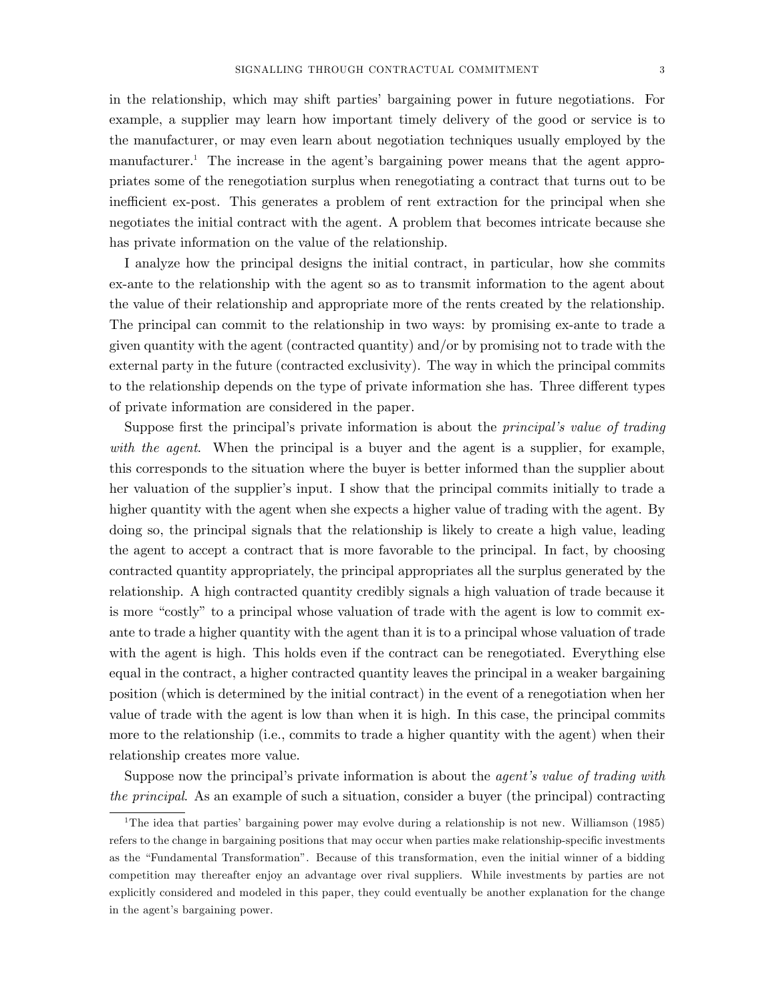in the relationship, which may shift partiesí bargaining power in future negotiations. For example, a supplier may learn how important timely delivery of the good or service is to the manufacturer, or may even learn about negotiation techniques usually employed by the manufacturer.<sup>1</sup> The increase in the agent's bargaining power means that the agent appropriates some of the renegotiation surplus when renegotiating a contract that turns out to be inefficient ex-post. This generates a problem of rent extraction for the principal when she negotiates the initial contract with the agent. A problem that becomes intricate because she has private information on the value of the relationship.

I analyze how the principal designs the initial contract, in particular, how she commits ex-ante to the relationship with the agent so as to transmit information to the agent about the value of their relationship and appropriate more of the rents created by the relationship. The principal can commit to the relationship in two ways: by promising ex-ante to trade a given quantity with the agent (contracted quantity) and/or by promising not to trade with the external party in the future (contracted exclusivity). The way in which the principal commits to the relationship depends on the type of private information she has. Three different types of private information are considered in the paper.

Suppose first the principal's private information is about the *principal's value of trading* with the agent. When the principal is a buyer and the agent is a supplier, for example, this corresponds to the situation where the buyer is better informed than the supplier about her valuation of the supplier's input. I show that the principal commits initially to trade a higher quantity with the agent when she expects a higher value of trading with the agent. By doing so, the principal signals that the relationship is likely to create a high value, leading the agent to accept a contract that is more favorable to the principal. In fact, by choosing contracted quantity appropriately, the principal appropriates all the surplus generated by the relationship. A high contracted quantity credibly signals a high valuation of trade because it is more "costly" to a principal whose valuation of trade with the agent is low to commit exante to trade a higher quantity with the agent than it is to a principal whose valuation of trade with the agent is high. This holds even if the contract can be renegotiated. Everything else equal in the contract, a higher contracted quantity leaves the principal in a weaker bargaining position (which is determined by the initial contract) in the event of a renegotiation when her value of trade with the agent is low than when it is high. In this case, the principal commits more to the relationship (i.e., commits to trade a higher quantity with the agent) when their relationship creates more value.

Suppose now the principal's private information is about the *agent's value of trading with* the principal. As an example of such a situation, consider a buyer (the principal) contracting

<sup>&</sup>lt;sup>1</sup>The idea that parties' bargaining power may evolve during a relationship is not new. Williamson (1985) refers to the change in bargaining positions that may occur when parties make relationship-specific investments as the "Fundamental Transformation". Because of this transformation, even the initial winner of a bidding competition may thereafter enjoy an advantage over rival suppliers. While investments by parties are not explicitly considered and modeled in this paper, they could eventually be another explanation for the change in the agent's bargaining power.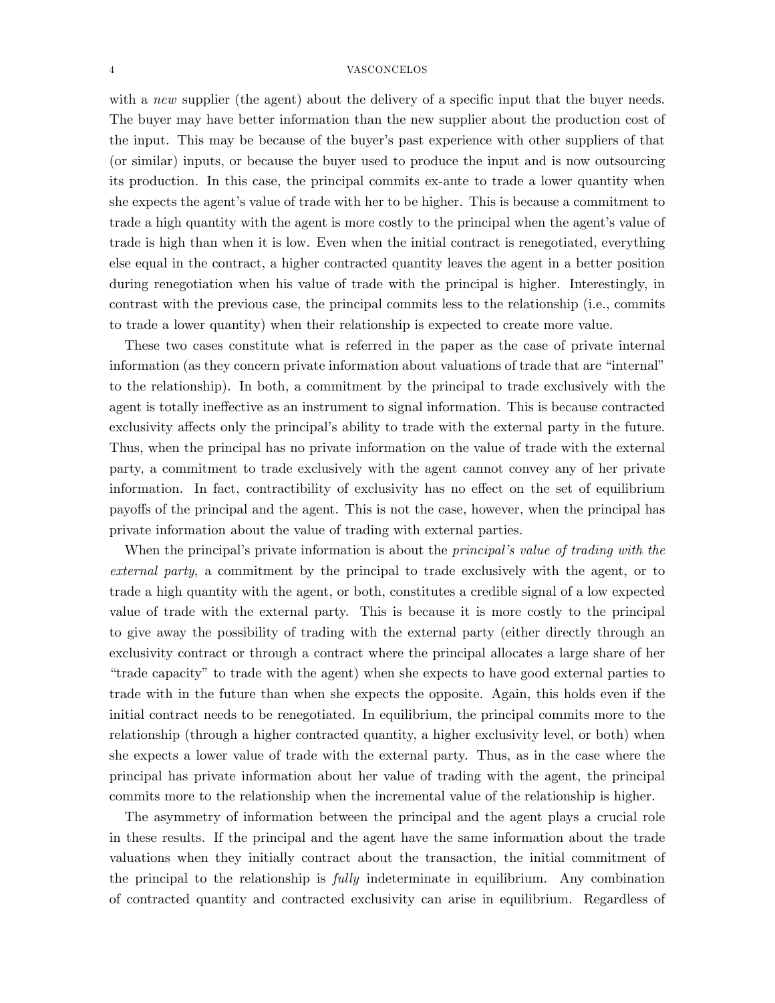with a new supplier (the agent) about the delivery of a specific input that the buyer needs. The buyer may have better information than the new supplier about the production cost of the input. This may be because of the buyer's past experience with other suppliers of that (or similar) inputs, or because the buyer used to produce the input and is now outsourcing its production. In this case, the principal commits ex-ante to trade a lower quantity when she expects the agent's value of trade with her to be higher. This is because a commitment to trade a high quantity with the agent is more costly to the principal when the agent's value of trade is high than when it is low. Even when the initial contract is renegotiated, everything else equal in the contract, a higher contracted quantity leaves the agent in a better position during renegotiation when his value of trade with the principal is higher. Interestingly, in contrast with the previous case, the principal commits less to the relationship (i.e., commits to trade a lower quantity) when their relationship is expected to create more value.

These two cases constitute what is referred in the paper as the case of private internal information (as they concern private information about valuations of trade that are "internal" to the relationship). In both, a commitment by the principal to trade exclusively with the agent is totally ineffective as an instrument to signal information. This is because contracted exclusivity affects only the principal's ability to trade with the external party in the future. Thus, when the principal has no private information on the value of trade with the external party, a commitment to trade exclusively with the agent cannot convey any of her private information. In fact, contractibility of exclusivity has no effect on the set of equilibrium payo§s of the principal and the agent. This is not the case, however, when the principal has private information about the value of trading with external parties.

When the principal's private information is about the *principal's value of trading with the* external party, a commitment by the principal to trade exclusively with the agent, or to trade a high quantity with the agent, or both, constitutes a credible signal of a low expected value of trade with the external party. This is because it is more costly to the principal to give away the possibility of trading with the external party (either directly through an exclusivity contract or through a contract where the principal allocates a large share of her ìtrade capacityî to trade with the agent) when she expects to have good external parties to trade with in the future than when she expects the opposite. Again, this holds even if the initial contract needs to be renegotiated. In equilibrium, the principal commits more to the relationship (through a higher contracted quantity, a higher exclusivity level, or both) when she expects a lower value of trade with the external party. Thus, as in the case where the principal has private information about her value of trading with the agent, the principal commits more to the relationship when the incremental value of the relationship is higher.

The asymmetry of information between the principal and the agent plays a crucial role in these results. If the principal and the agent have the same information about the trade valuations when they initially contract about the transaction, the initial commitment of the principal to the relationship is fully indeterminate in equilibrium. Any combination of contracted quantity and contracted exclusivity can arise in equilibrium. Regardless of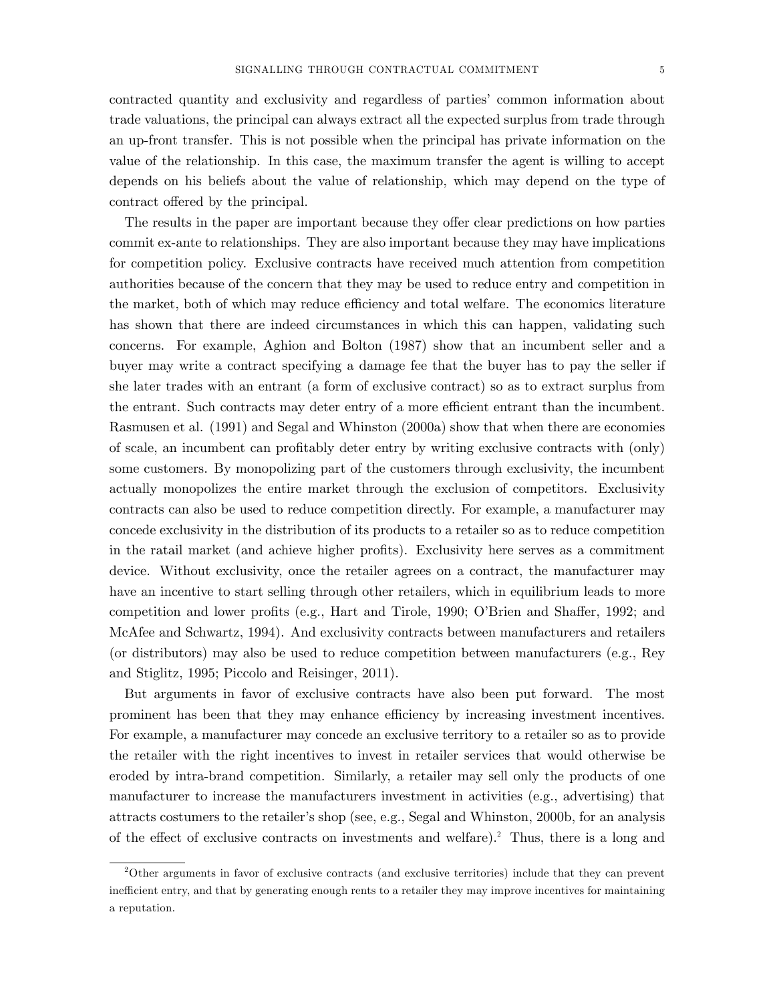contracted quantity and exclusivity and regardless of partiesí common information about trade valuations, the principal can always extract all the expected surplus from trade through an up-front transfer. This is not possible when the principal has private information on the value of the relationship. In this case, the maximum transfer the agent is willing to accept depends on his beliefs about the value of relationship, which may depend on the type of contract offered by the principal.

The results in the paper are important because they offer clear predictions on how parties commit ex-ante to relationships. They are also important because they may have implications for competition policy. Exclusive contracts have received much attention from competition authorities because of the concern that they may be used to reduce entry and competition in the market, both of which may reduce efficiency and total welfare. The economics literature has shown that there are indeed circumstances in which this can happen, validating such concerns. For example, Aghion and Bolton (1987) show that an incumbent seller and a buyer may write a contract specifying a damage fee that the buyer has to pay the seller if she later trades with an entrant (a form of exclusive contract) so as to extract surplus from the entrant. Such contracts may deter entry of a more efficient entrant than the incumbent. Rasmusen et al. (1991) and Segal and Whinston (2000a) show that when there are economies of scale, an incumbent can proÖtably deter entry by writing exclusive contracts with (only) some customers. By monopolizing part of the customers through exclusivity, the incumbent actually monopolizes the entire market through the exclusion of competitors. Exclusivity contracts can also be used to reduce competition directly. For example, a manufacturer may concede exclusivity in the distribution of its products to a retailer so as to reduce competition in the ratail market (and achieve higher profits). Exclusivity here serves as a commitment device. Without exclusivity, once the retailer agrees on a contract, the manufacturer may have an incentive to start selling through other retailers, which in equilibrium leads to more competition and lower profits (e.g., Hart and Tirole, 1990; O'Brien and Shaffer, 1992; and McAfee and Schwartz, 1994). And exclusivity contracts between manufacturers and retailers (or distributors) may also be used to reduce competition between manufacturers (e.g., Rey and Stiglitz, 1995; Piccolo and Reisinger, 2011).

But arguments in favor of exclusive contracts have also been put forward. The most prominent has been that they may enhance efficiency by increasing investment incentives. For example, a manufacturer may concede an exclusive territory to a retailer so as to provide the retailer with the right incentives to invest in retailer services that would otherwise be eroded by intra-brand competition. Similarly, a retailer may sell only the products of one manufacturer to increase the manufacturers investment in activities (e.g., advertising) that attracts costumers to the retailer's shop (see, e.g., Segal and Whinston, 2000b, for an analysis of the effect of exclusive contracts on investments and welfare).<sup>2</sup> Thus, there is a long and

<sup>2</sup>Other arguments in favor of exclusive contracts (and exclusive territories) include that they can prevent inefficient entry, and that by generating enough rents to a retailer they may improve incentives for maintaining a reputation.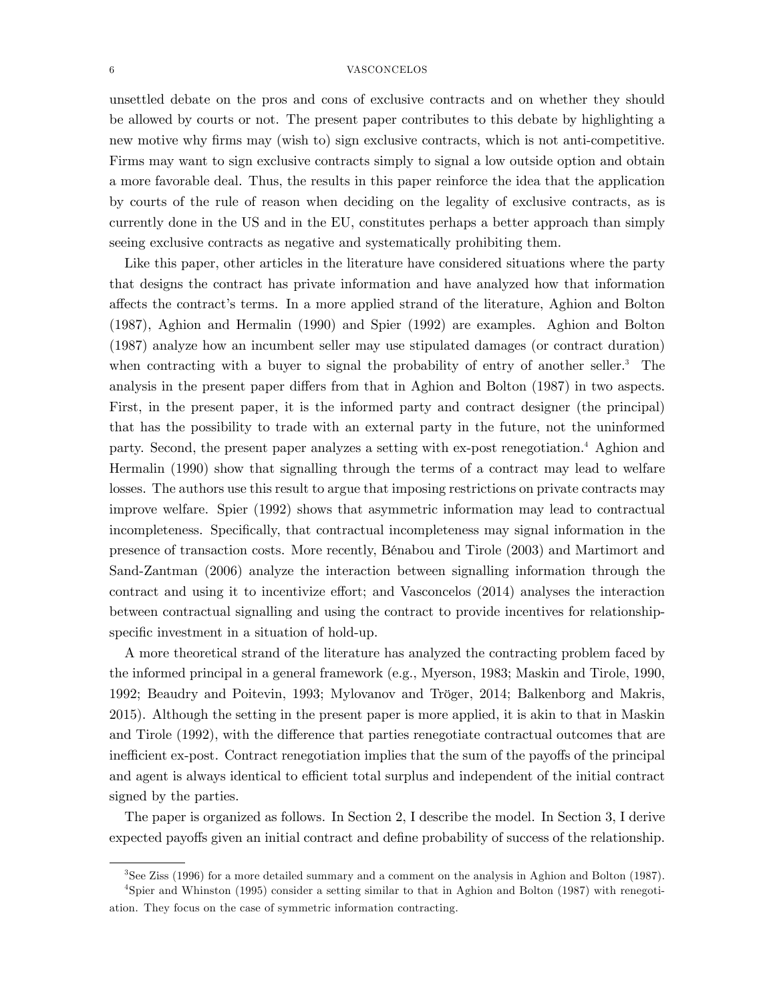unsettled debate on the pros and cons of exclusive contracts and on whether they should be allowed by courts or not. The present paper contributes to this debate by highlighting a new motive why firms may (wish to) sign exclusive contracts, which is not anti-competitive. Firms may want to sign exclusive contracts simply to signal a low outside option and obtain a more favorable deal. Thus, the results in this paper reinforce the idea that the application by courts of the rule of reason when deciding on the legality of exclusive contracts, as is currently done in the US and in the EU, constitutes perhaps a better approach than simply seeing exclusive contracts as negative and systematically prohibiting them.

Like this paper, other articles in the literature have considered situations where the party that designs the contract has private information and have analyzed how that information a§ects the contractís terms. In a more applied strand of the literature, Aghion and Bolton (1987), Aghion and Hermalin (1990) and Spier (1992) are examples. Aghion and Bolton (1987) analyze how an incumbent seller may use stipulated damages (or contract duration) when contracting with a buyer to signal the probability of entry of another seller.<sup>3</sup> The analysis in the present paper differs from that in Aghion and Bolton (1987) in two aspects. First, in the present paper, it is the informed party and contract designer (the principal) that has the possibility to trade with an external party in the future, not the uninformed party. Second, the present paper analyzes a setting with ex-post renegotiation.<sup>4</sup> Aghion and Hermalin (1990) show that signalling through the terms of a contract may lead to welfare losses. The authors use this result to argue that imposing restrictions on private contracts may improve welfare. Spier (1992) shows that asymmetric information may lead to contractual incompleteness. Specifically, that contractual incompleteness may signal information in the presence of transaction costs. More recently, BÈnabou and Tirole (2003) and Martimort and Sand-Zantman (2006) analyze the interaction between signalling information through the contract and using it to incentivize effort; and Vasconcelos  $(2014)$  analyses the interaction between contractual signalling and using the contract to provide incentives for relationshipspecific investment in a situation of hold-up.

A more theoretical strand of the literature has analyzed the contracting problem faced by the informed principal in a general framework (e.g., Myerson, 1983; Maskin and Tirole, 1990, 1992; Beaudry and Poitevin, 1993; Mylovanov and Tröger, 2014; Balkenborg and Makris, 2015). Although the setting in the present paper is more applied, it is akin to that in Maskin and Tirole (1992), with the difference that parties renegotiate contractual outcomes that are inefficient ex-post. Contract renegotiation implies that the sum of the payoffs of the principal and agent is always identical to efficient total surplus and independent of the initial contract signed by the parties.

The paper is organized as follows. In Section 2, I describe the model. In Section 3, I derive expected payoffs given an initial contract and define probability of success of the relationship.

<sup>3</sup>See Ziss (1996) for a more detailed summary and a comment on the analysis in Aghion and Bolton (1987). <sup>4</sup>Spier and Whinston (1995) consider a setting similar to that in Aghion and Bolton (1987) with renegoti-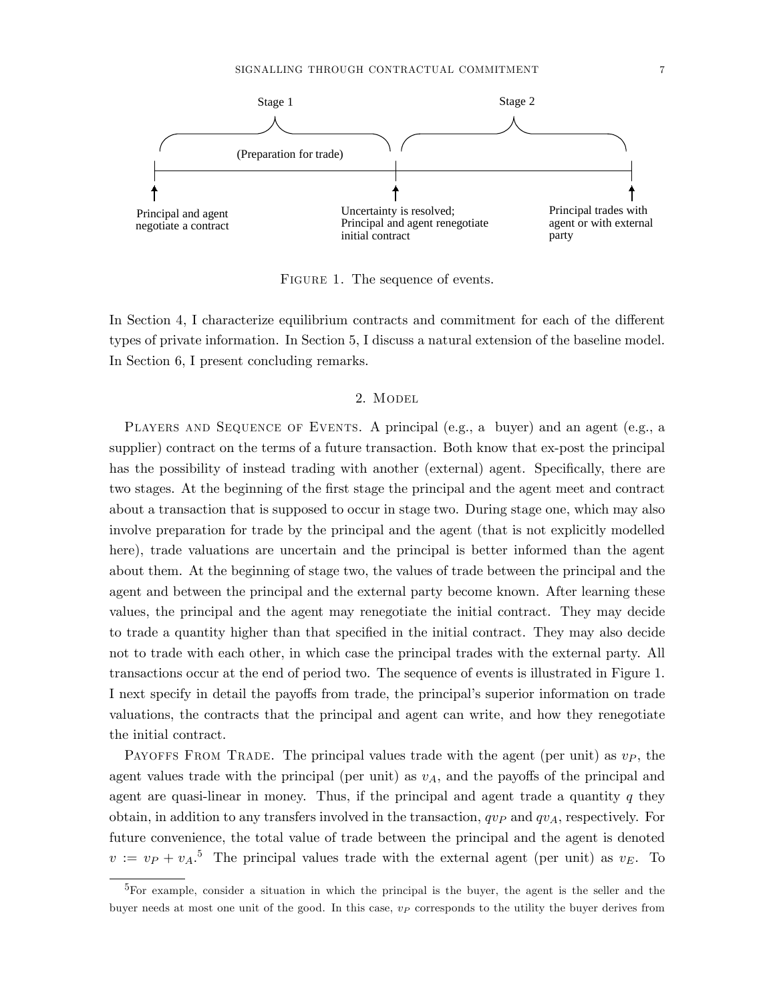

FIGURE 1. The sequence of events.

In Section 4, I characterize equilibrium contracts and commitment for each of the different types of private information. In Section 5, I discuss a natural extension of the baseline model. In Section 6, I present concluding remarks.

## 2. MODEL

PLAYERS AND SEQUENCE OF EVENTS. A principal (e.g., a buyer) and an agent (e.g., a supplier) contract on the terms of a future transaction. Both know that ex-post the principal has the possibility of instead trading with another (external) agent. Specifically, there are two stages. At the beginning of the first stage the principal and the agent meet and contract about a transaction that is supposed to occur in stage two. During stage one, which may also involve preparation for trade by the principal and the agent (that is not explicitly modelled here), trade valuations are uncertain and the principal is better informed than the agent about them. At the beginning of stage two, the values of trade between the principal and the agent and between the principal and the external party become known. After learning these values, the principal and the agent may renegotiate the initial contract. They may decide to trade a quantity higher than that specified in the initial contract. They may also decide not to trade with each other, in which case the principal trades with the external party. All transactions occur at the end of period two. The sequence of events is illustrated in Figure 1. I next specify in detail the payoffs from trade, the principal's superior information on trade valuations, the contracts that the principal and agent can write, and how they renegotiate the initial contract.

PAYOFFS FROM TRADE. The principal values trade with the agent (per unit) as  $v_P$ , the agent values trade with the principal (per unit) as  $v_A$ , and the payoffs of the principal and agent are quasi-linear in money. Thus, if the principal and agent trade a quantity  $q$  they obtain, in addition to any transfers involved in the transaction,  $qvP$  and  $qvA$ , respectively. For future convenience, the total value of trade between the principal and the agent is denoted  $v := v_P + v_A$ <sup>5</sup>. The principal values trade with the external agent (per unit) as  $v_E$ . To

<sup>5</sup>For example, consider a situation in which the principal is the buyer, the agent is the seller and the buyer needs at most one unit of the good. In this case,  $v<sub>P</sub>$  corresponds to the utility the buyer derives from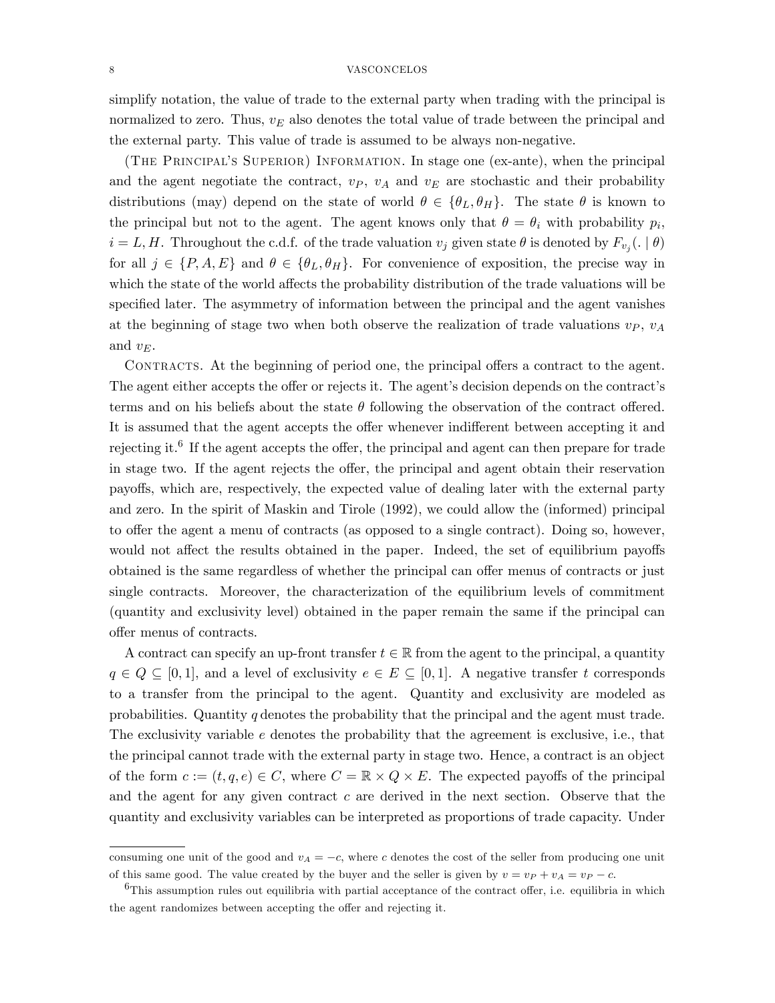simplify notation, the value of trade to the external party when trading with the principal is normalized to zero. Thus,  $v_E$  also denotes the total value of trade between the principal and the external party. This value of trade is assumed to be always non-negative.

(The Principalís Superior) Information. In stage one (ex-ante), when the principal and the agent negotiate the contract,  $v_P$ ,  $v_A$  and  $v_E$  are stochastic and their probability distributions (may) depend on the state of world  $\theta \in {\theta_L, \theta_H}$ . The state  $\theta$  is known to the principal but not to the agent. The agent knows only that  $\theta = \theta_i$  with probability  $p_i$ ,  $i = L, H$ . Throughout the c.d.f. of the trade valuation  $v_j$  given state  $\theta$  is denoted by  $F_{v_j}(.\mid \theta)$ for all  $j \in \{P, A, E\}$  and  $\theta \in \{\theta_L, \theta_H\}$ . For convenience of exposition, the precise way in which the state of the world affects the probability distribution of the trade valuations will be specified later. The asymmetry of information between the principal and the agent vanishes at the beginning of stage two when both observe the realization of trade valuations  $v_P$ ,  $v_A$ and  $v_E$ .

CONTRACTS. At the beginning of period one, the principal offers a contract to the agent. The agent either accepts the offer or rejects it. The agent's decision depends on the contract's terms and on his beliefs about the state  $\theta$  following the observation of the contract offered. It is assumed that the agent accepts the offer whenever indifferent between accepting it and rejecting it.<sup>6</sup> If the agent accepts the offer, the principal and agent can then prepare for trade in stage two. If the agent rejects the offer, the principal and agent obtain their reservation payo§s, which are, respectively, the expected value of dealing later with the external party and zero. In the spirit of Maskin and Tirole (1992), we could allow the (informed) principal to offer the agent a menu of contracts (as opposed to a single contract). Doing so, however, would not affect the results obtained in the paper. Indeed, the set of equilibrium payoffs obtained is the same regardless of whether the principal can offer menus of contracts or just single contracts. Moreover, the characterization of the equilibrium levels of commitment (quantity and exclusivity level) obtained in the paper remain the same if the principal can offer menus of contracts.

A contract can specify an up-front transfer  $t \in \mathbb{R}$  from the agent to the principal, a quantity  $q \in Q \subseteq [0, 1]$ , and a level of exclusivity  $e \in E \subseteq [0, 1]$ . A negative transfer t corresponds to a transfer from the principal to the agent. Quantity and exclusivity are modeled as probabilities. Quantity q denotes the probability that the principal and the agent must trade. The exclusivity variable e denotes the probability that the agreement is exclusive, i.e., that the principal cannot trade with the external party in stage two. Hence, a contract is an object of the form  $c := (t, q, e) \in C$ , where  $C = \mathbb{R} \times Q \times E$ . The expected payoffs of the principal and the agent for any given contract  $c$  are derived in the next section. Observe that the quantity and exclusivity variables can be interpreted as proportions of trade capacity. Under

consuming one unit of the good and  $v_A = -c$ , where c denotes the cost of the seller from producing one unit of this same good. The value created by the buyer and the seller is given by  $v = v_P + v_A = v_P - c$ .

 $6$ This assumption rules out equilibria with partial acceptance of the contract offer, i.e. equilibria in which the agent randomizes between accepting the offer and rejecting it.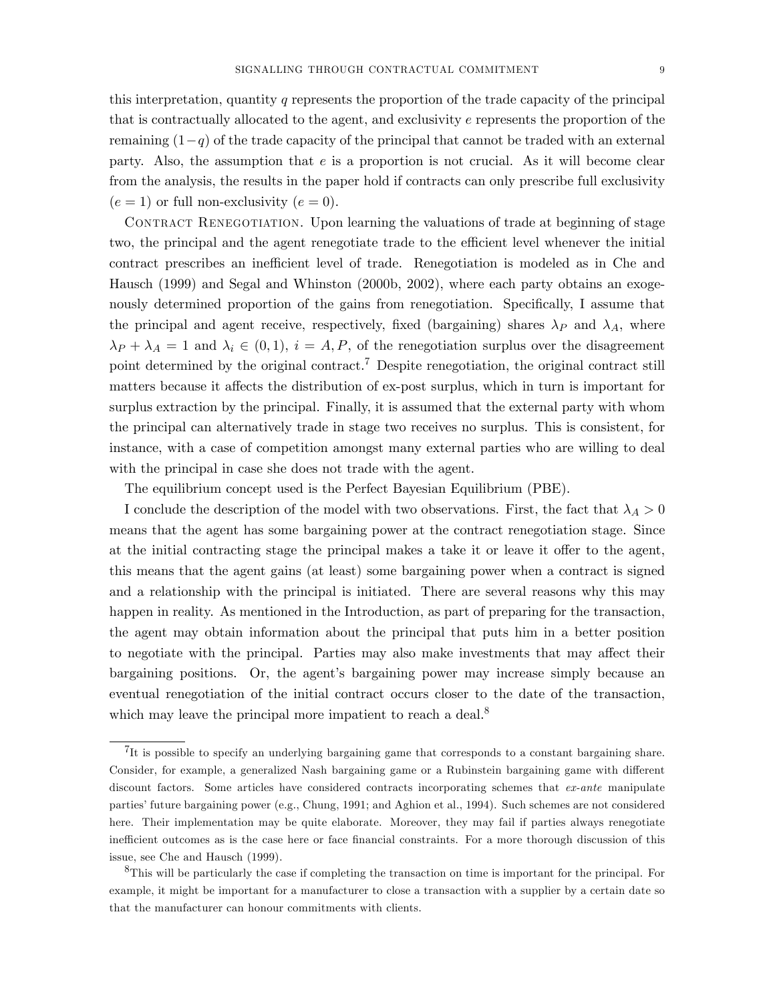this interpretation, quantity q represents the proportion of the trade capacity of the principal that is contractually allocated to the agent, and exclusivity e represents the proportion of the remaining  $(1-q)$  of the trade capacity of the principal that cannot be traded with an external party. Also, the assumption that  $e$  is a proportion is not crucial. As it will become clear from the analysis, the results in the paper hold if contracts can only prescribe full exclusivity  $(e = 1)$  or full non-exclusivity  $(e = 0)$ .

CONTRACT RENEGOTIATION. Upon learning the valuations of trade at beginning of stage two, the principal and the agent renegotiate trade to the efficient level whenever the initial contract prescribes an inefficient level of trade. Renegotiation is modeled as in Che and Hausch (1999) and Segal and Whinston (2000b, 2002), where each party obtains an exogenously determined proportion of the gains from renegotiation. Specifically, I assume that the principal and agent receive, respectively, fixed (bargaining) shares  $\lambda_P$  and  $\lambda_A$ , where  $\lambda_P + \lambda_A = 1$  and  $\lambda_i \in (0,1)$ ,  $i = A, P$ , of the renegotiation surplus over the disagreement point determined by the original contract.<sup>7</sup> Despite renegotiation, the original contract still matters because it affects the distribution of ex-post surplus, which in turn is important for surplus extraction by the principal. Finally, it is assumed that the external party with whom the principal can alternatively trade in stage two receives no surplus. This is consistent, for instance, with a case of competition amongst many external parties who are willing to deal with the principal in case she does not trade with the agent.

The equilibrium concept used is the Perfect Bayesian Equilibrium (PBE).

I conclude the description of the model with two observations. First, the fact that  $\lambda_A > 0$ means that the agent has some bargaining power at the contract renegotiation stage. Since at the initial contracting stage the principal makes a take it or leave it offer to the agent, this means that the agent gains (at least) some bargaining power when a contract is signed and a relationship with the principal is initiated. There are several reasons why this may happen in reality. As mentioned in the Introduction, as part of preparing for the transaction, the agent may obtain information about the principal that puts him in a better position to negotiate with the principal. Parties may also make investments that may affect their bargaining positions. Or, the agent's bargaining power may increase simply because an eventual renegotiation of the initial contract occurs closer to the date of the transaction, which may leave the principal more impatient to reach a deal.<sup>8</sup>

 ${}^{7}$ It is possible to specify an underlying bargaining game that corresponds to a constant bargaining share. Consider, for example, a generalized Nash bargaining game or a Rubinstein bargaining game with different discount factors. Some articles have considered contracts incorporating schemes that ex-ante manipulate partiesífuture bargaining power (e.g., Chung, 1991; and Aghion et al., 1994). Such schemes are not considered here. Their implementation may be quite elaborate. Moreover, they may fail if parties always renegotiate inefficient outcomes as is the case here or face financial constraints. For a more thorough discussion of this issue, see Che and Hausch (1999).

<sup>8</sup>This will be particularly the case if completing the transaction on time is important for the principal. For example, it might be important for a manufacturer to close a transaction with a supplier by a certain date so that the manufacturer can honour commitments with clients.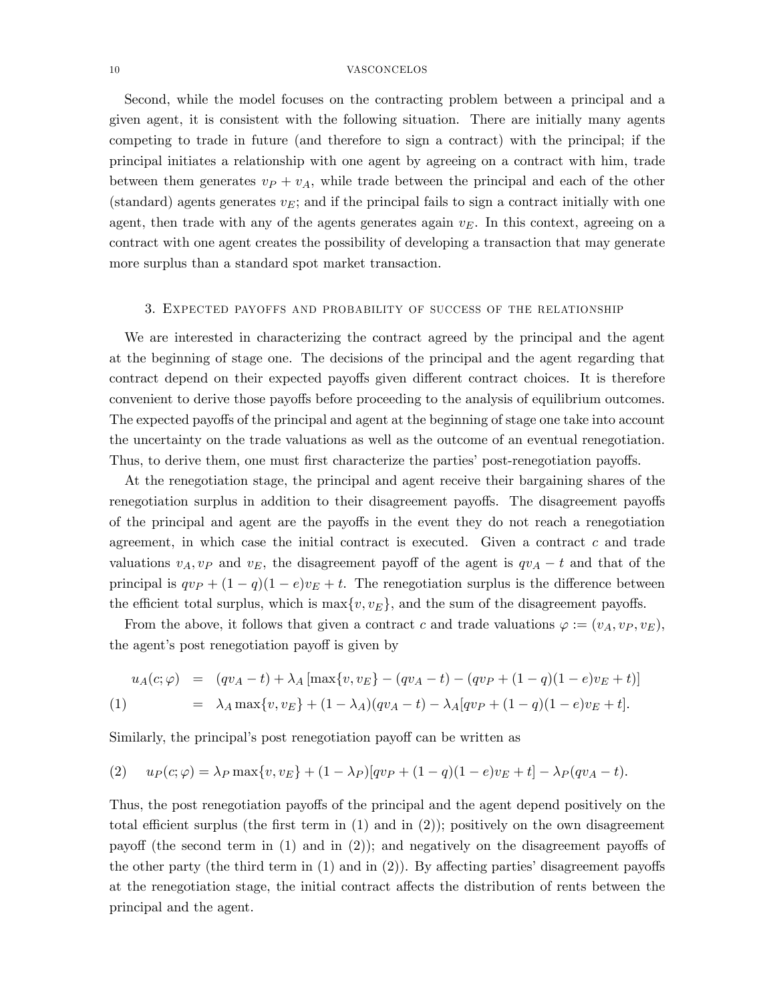Second, while the model focuses on the contracting problem between a principal and a given agent, it is consistent with the following situation. There are initially many agents competing to trade in future (and therefore to sign a contract) with the principal; if the principal initiates a relationship with one agent by agreeing on a contract with him, trade between them generates  $v_P + v_A$ , while trade between the principal and each of the other (standard) agents generates  $v_E$ ; and if the principal fails to sign a contract initially with one agent, then trade with any of the agents generates again  $v<sub>E</sub>$ . In this context, agreeing on a contract with one agent creates the possibility of developing a transaction that may generate more surplus than a standard spot market transaction.

## 3. Expected payoffs and probability of success of the relationship

We are interested in characterizing the contract agreed by the principal and the agent at the beginning of stage one. The decisions of the principal and the agent regarding that contract depend on their expected payoffs given different contract choices. It is therefore convenient to derive those payoffs before proceeding to the analysis of equilibrium outcomes. The expected payoffs of the principal and agent at the beginning of stage one take into account the uncertainty on the trade valuations as well as the outcome of an eventual renegotiation. Thus, to derive them, one must first characterize the parties' post-renegotiation payoffs.

At the renegotiation stage, the principal and agent receive their bargaining shares of the renegotiation surplus in addition to their disagreement payoffs. The disagreement payoffs of the principal and agent are the payoffs in the event they do not reach a renegotiation agreement, in which case the initial contract is executed. Given a contract  $c$  and trade valuations  $v_A, v_P$  and  $v_E$ , the disagreement payoff of the agent is  $qv_A - t$  and that of the principal is  $qv_P + (1 - q)(1 - e)v_E + t$ . The renegotiation surplus is the difference between the efficient total surplus, which is  $\max\{v, v_E\}$ , and the sum of the disagreement payoffs.

From the above, it follows that given a contract c and trade valuations  $\varphi := (v_A, v_P, v_E)$ , the agent's post renegotiation payoff is given by

$$
u_A(c; \varphi) = (qv_A - t) + \lambda_A [\max\{v, v_E\} - (qv_A - t) - (qv_P + (1 - q)(1 - e)v_E + t)]
$$
  
(1) =  $\lambda_A \max\{v, v_E\} + (1 - \lambda_A)(qv_A - t) - \lambda_A[qv_P + (1 - q)(1 - e)v_E + t].$ 

Similarly, the principal's post renegotiation payoff can be written as

(2) 
$$
u_P(c; \varphi) = \lambda_P \max\{v, v_E\} + (1 - \lambda_P)[qv_P + (1 - q)(1 - e)v_E + t] - \lambda_P(qv_A - t).
$$

Thus, the post renegotiation payoffs of the principal and the agent depend positively on the total efficient surplus (the first term in  $(1)$  and in  $(2)$ ); positively on the own disagreement payoff (the second term in  $(1)$  and in  $(2)$ ); and negatively on the disagreement payoffs of the other party (the third term in  $(1)$  and in  $(2)$ ). By affecting parties' disagreement payoffs at the renegotiation stage, the initial contract affects the distribution of rents between the principal and the agent.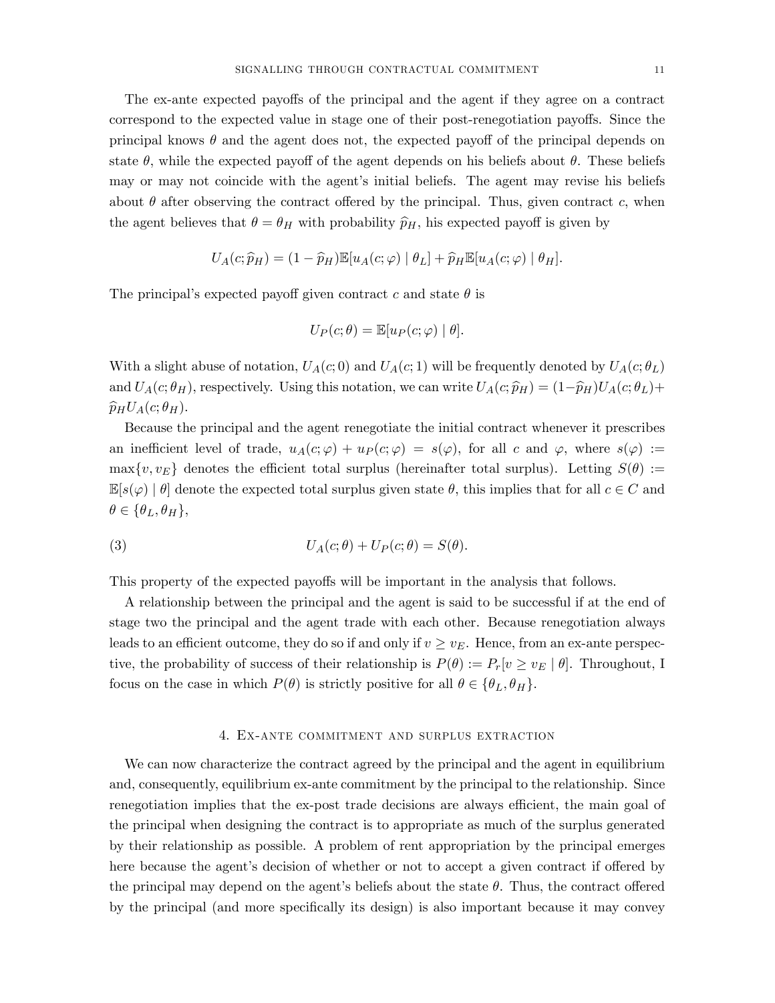The ex-ante expected payoffs of the principal and the agent if they agree on a contract correspond to the expected value in stage one of their post-renegotiation payoffs. Since the principal knows  $\theta$  and the agent does not, the expected payoff of the principal depends on state  $\theta$ , while the expected payoff of the agent depends on his beliefs about  $\theta$ . These beliefs may or may not coincide with the agent's initial beliefs. The agent may revise his beliefs about  $\theta$  after observing the contract offered by the principal. Thus, given contract c, when the agent believes that  $\theta = \theta_H$  with probability  $\hat{p}_H$ , his expected payoff is given by

$$
U_A(c; \widehat{p}_H) = (1 - \widehat{p}_H) \mathbb{E}[u_A(c; \varphi) | \theta_L] + \widehat{p}_H \mathbb{E}[u_A(c; \varphi) | \theta_H].
$$

The principal's expected payoff given contract c and state  $\theta$  is

$$
U_P(c; \theta) = \mathbb{E}[u_P(c; \varphi) | \theta].
$$

With a slight abuse of notation,  $U_A(c, 0)$  and  $U_A(c, 1)$  will be frequently denoted by  $U_A(c, \theta_L)$ and  $U_A(c;\theta_H)$ , respectively. Using this notation, we can write  $U_A(c;\widehat{p}_H) = (1-\widehat{p}_H)U_A(c;\theta_L)+$  $\widehat{p}_H U_A(c; \theta_H)$ .

Because the principal and the agent renegotiate the initial contract whenever it prescribes an inefficient level of trade,  $u_A(c; \varphi) + u_P(c; \varphi) = s(\varphi)$ , for all c and  $\varphi$ , where  $s(\varphi) :=$  $\max\{v, v_E\}$  denotes the efficient total surplus (hereinafter total surplus). Letting  $S(\theta) :=$  $\mathbb{E}[s(\varphi) | \theta]$  denote the expected total surplus given state  $\theta$ , this implies that for all  $c \in C$  and  $\theta \in {\theta_L, \theta_H},$ 

(3) 
$$
U_A(c; \theta) + U_P(c; \theta) = S(\theta).
$$

This property of the expected payoffs will be important in the analysis that follows.

A relationship between the principal and the agent is said to be successful if at the end of stage two the principal and the agent trade with each other. Because renegotiation always leads to an efficient outcome, they do so if and only if  $v \ge v<sub>E</sub>$ . Hence, from an ex-ante perspective, the probability of success of their relationship is  $P(\theta) := P_r[v \ge v_E | \theta]$ . Throughout, I focus on the case in which  $P(\theta)$  is strictly positive for all  $\theta \in {\theta_L, \theta_H}$ .

### 4. Ex-ante commitment and surplus extraction

We can now characterize the contract agreed by the principal and the agent in equilibrium and, consequently, equilibrium ex-ante commitment by the principal to the relationship. Since renegotiation implies that the ex-post trade decisions are always efficient, the main goal of the principal when designing the contract is to appropriate as much of the surplus generated by their relationship as possible. A problem of rent appropriation by the principal emerges here because the agent's decision of whether or not to accept a given contract if offered by the principal may depend on the agent's beliefs about the state  $\theta$ . Thus, the contract offered by the principal (and more specifically its design) is also important because it may convey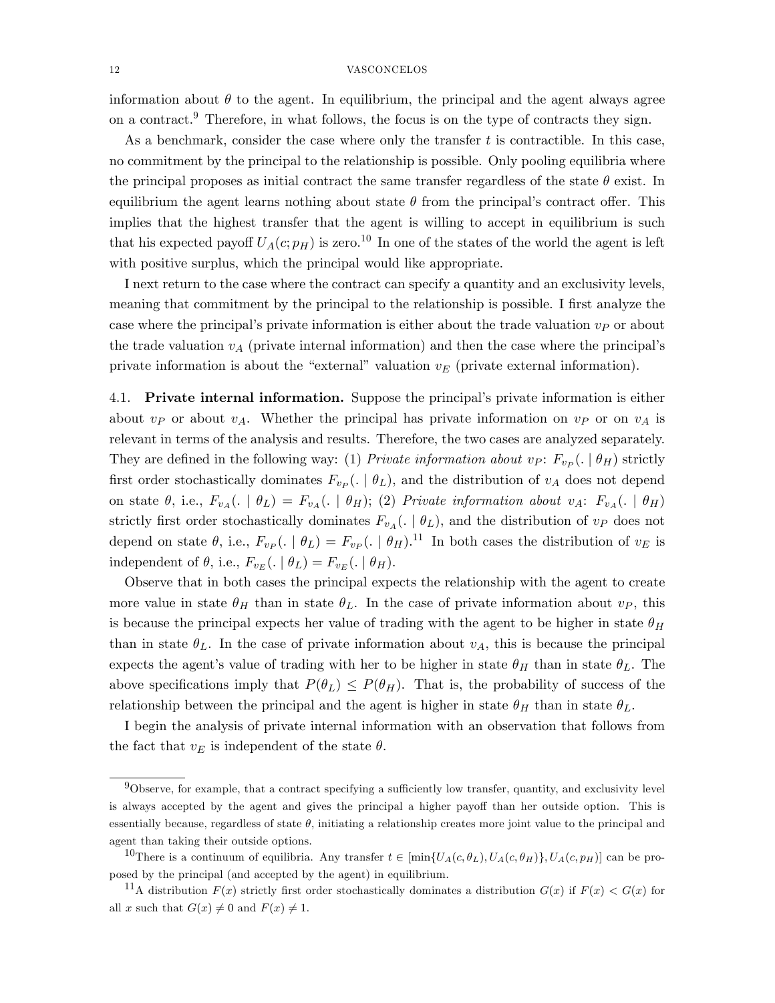information about  $\theta$  to the agent. In equilibrium, the principal and the agent always agree on a contract.<sup>9</sup> Therefore, in what follows, the focus is on the type of contracts they sign.

As a benchmark, consider the case where only the transfer  $t$  is contractible. In this case, no commitment by the principal to the relationship is possible. Only pooling equilibria where the principal proposes as initial contract the same transfer regardless of the state  $\theta$  exist. In equilibrium the agent learns nothing about state  $\theta$  from the principal's contract offer. This implies that the highest transfer that the agent is willing to accept in equilibrium is such that his expected payoff  $U_A(c;p_H)$  is zero.<sup>10</sup> In one of the states of the world the agent is left with positive surplus, which the principal would like appropriate.

I next return to the case where the contract can specify a quantity and an exclusivity levels, meaning that commitment by the principal to the relationship is possible. I first analyze the case where the principal's private information is either about the trade valuation  $v<sub>P</sub>$  or about the trade valuation  $v_A$  (private internal information) and then the case where the principal's private information is about the "external" valuation  $v_E$  (private external information).

4.1. Private internal information. Suppose the principal's private information is either about  $v_P$  or about  $v_A$ . Whether the principal has private information on  $v_P$  or on  $v_A$  is relevant in terms of the analysis and results. Therefore, the two cases are analyzed separately. They are defined in the following way: (1) *Private information about vp*:  $F_{v_P}$  ( $\mid \theta_H$ ) strictly first order stochastically dominates  $F_{v_P}$  ( $\mid \theta_L$ ), and the distribution of  $v_A$  does not depend on state  $\theta$ , i.e.,  $F_{v_A}(. \mid \theta_L) = F_{v_A}(. \mid \theta_H)$ ; (2) Private information about  $v_A$ :  $F_{v_A}(. \mid \theta_H)$ strictly first order stochastically dominates  $F_{v_A}(. \mid \theta_L)$ , and the distribution of  $v_P$  does not depend on state  $\theta$ , i.e.,  $F_{vp}$  ( $\theta_L$ ) =  $F_{vp}$  ( $\theta_H$ ).<sup>11</sup> In both cases the distribution of  $v_E$  is independent of  $\theta$ , i.e.,  $F_{v_E}(. \mid \theta_L) = F_{v_E}(. \mid \theta_H)$ .

Observe that in both cases the principal expects the relationship with the agent to create more value in state  $\theta_H$  than in state  $\theta_L$ . In the case of private information about  $v_P$ , this is because the principal expects her value of trading with the agent to be higher in state  $\theta_H$ than in state  $\theta_L$ . In the case of private information about  $v_A$ , this is because the principal expects the agent's value of trading with her to be higher in state  $\theta_H$  than in state  $\theta_L$ . The above specifications imply that  $P(\theta_L) \leq P(\theta_H)$ . That is, the probability of success of the relationship between the principal and the agent is higher in state  $\theta_H$  than in state  $\theta_L$ .

I begin the analysis of private internal information with an observation that follows from the fact that  $v_E$  is independent of the state  $\theta$ .

 $9$ Observe, for example, that a contract specifying a sufficiently low transfer, quantity, and exclusivity level is always accepted by the agent and gives the principal a higher payoff than her outside option. This is essentially because, regardless of state  $\theta$ , initiating a relationship creates more joint value to the principal and agent than taking their outside options.

<sup>&</sup>lt;sup>10</sup>There is a continuum of equilibria. Any transfer  $t \in [\min\{U_A(c, \theta_L), U_A(c, \theta_H)\}, U_A(c, p_H)]$  can be proposed by the principal (and accepted by the agent) in equilibrium.

<sup>&</sup>lt;sup>11</sup>A distribution  $F(x)$  strictly first order stochastically dominates a distribution  $G(x)$  if  $F(x) < G(x)$  for all x such that  $G(x) \neq 0$  and  $F(x) \neq 1$ .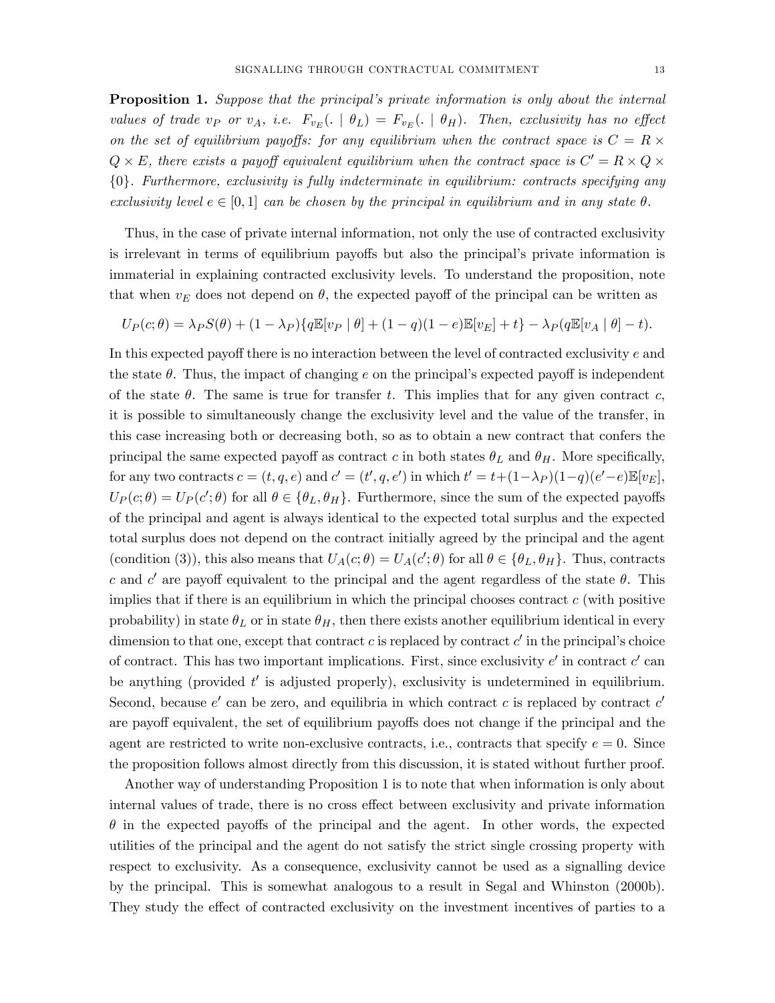**Proposition 1.** Suppose that the principal's private information is only about the internal values of trade v<sub>P</sub> or v<sub>A</sub>, i.e.  $F_{v_E}$ ( $\theta_L$ ) =  $F_{v_E}$ ( $\theta_H$ ). Then, exclusivity has no effect on the set of equilibrium payoffs: for any equilibrium when the contract space is  $C = R \times$  $Q \times E$ , there exists a payoff equivalent equilibrium when the contract space is  $C' = R \times Q \times$ f0g. Furthermore, exclusivity is fully indeterminate in equilibrium: contracts specifying any exclusivity level  $e \in [0, 1]$  can be chosen by the principal in equilibrium and in any state  $\theta$ .

Thus, in the case of private internal information, not only the use of contracted exclusivity is irrelevant in terms of equilibrium payoffs but also the principal's private information is immaterial in explaining contracted exclusivity levels. To understand the proposition, note that when  $v_E$  does not depend on  $\theta$ , the expected payoff of the principal can be written as

$$
U_P(c; \theta) = \lambda_P S(\theta) + (1 - \lambda_P) \{ q \mathbb{E}[v_P | \theta] + (1 - q)(1 - e) \mathbb{E}[v_E] + t \} - \lambda_P (q \mathbb{E}[v_A | \theta] - t).
$$

In this expected payoff there is no interaction between the level of contracted exclusivity  $e$  and the state  $\theta$ . Thus, the impact of changing e on the principal's expected payoff is independent of the state  $\theta$ . The same is true for transfer t. This implies that for any given contract c, it is possible to simultaneously change the exclusivity level and the value of the transfer, in this case increasing both or decreasing both, so as to obtain a new contract that confers the principal the same expected payoff as contract c in both states  $\theta_L$  and  $\theta_H$ . More specifically, for any two contracts  $c = (t, q, e)$  and  $c' = (t', q, e')$  in which  $t' = t + (1 - \lambda_P)(1 - q)(e' - e)\mathbb{E}[v_E]$ ,  $U_P(c;\theta) = U_P(c';\theta)$  for all  $\theta \in {\theta_L, \theta_H}$ . Furthermore, since the sum of the expected payoffs of the principal and agent is always identical to the expected total surplus and the expected total surplus does not depend on the contract initially agreed by the principal and the agent (condition (3)), this also means that  $U_A(c;\theta) = U_A(c';\theta)$  for all  $\theta \in {\theta_L, \theta_H}$ . Thus, contracts c and c' are payoff equivalent to the principal and the agent regardless of the state  $\theta$ . This implies that if there is an equilibrium in which the principal chooses contract  $c$  (with positive probability) in state  $\theta_L$  or in state  $\theta_H$ , then there exists another equilibrium identical in every dimension to that one, except that contract c is replaced by contract  $c'$  in the principal's choice of contract. This has two important implications. First, since exclusivity  $e'$  in contract  $c'$  can be anything (provided  $t'$  is adjusted properly), exclusivity is undetermined in equilibrium. Second, because  $e'$  can be zero, and equilibria in which contract c is replaced by contract  $c'$ are payoff equivalent, the set of equilibrium payoffs does not change if the principal and the agent are restricted to write non-exclusive contracts, i.e., contracts that specify  $e = 0$ . Since the proposition follows almost directly from this discussion, it is stated without further proof.

Another way of understanding Proposition 1 is to note that when information is only about internal values of trade, there is no cross effect between exclusivity and private information  $\theta$  in the expected payoffs of the principal and the agent. In other words, the expected utilities of the principal and the agent do not satisfy the strict single crossing property with respect to exclusivity. As a consequence, exclusivity cannot be used as a signalling device by the principal. This is somewhat analogous to a result in Segal and Whinston (2000b). They study the effect of contracted exclusivity on the investment incentives of parties to a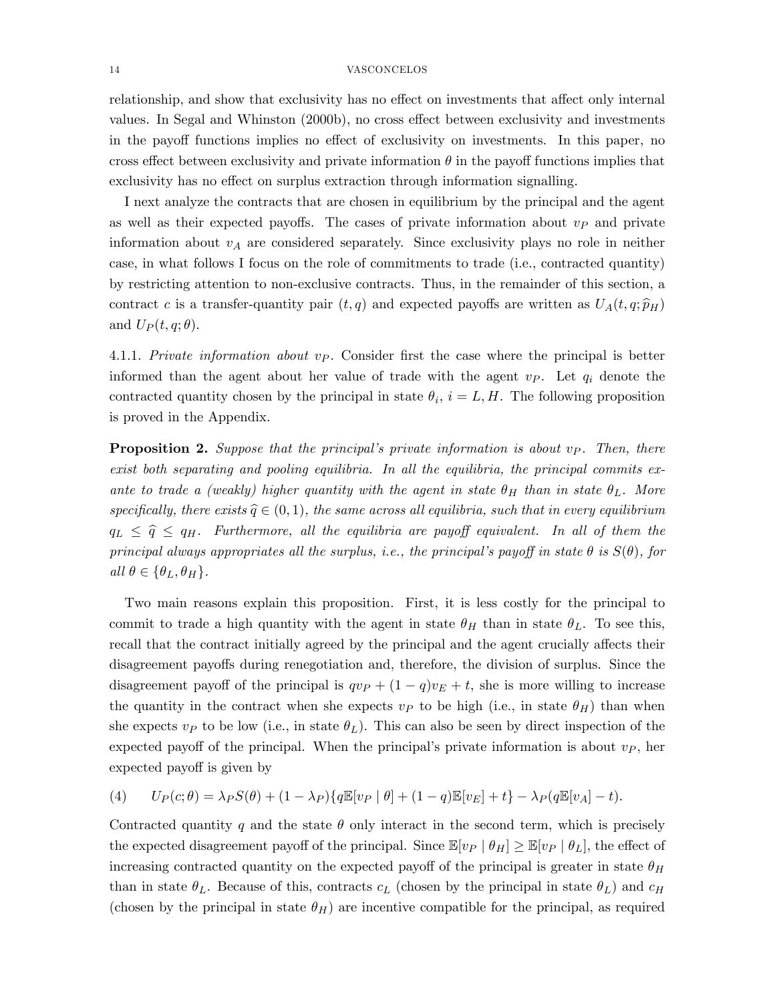relationship, and show that exclusivity has no effect on investments that affect only internal values. In Segal and Whinston (2000b), no cross effect between exclusivity and investments in the payoff functions implies no effect of exclusivity on investments. In this paper, no cross effect between exclusivity and private information  $\theta$  in the payoff functions implies that exclusivity has no effect on surplus extraction through information signalling.

I next analyze the contracts that are chosen in equilibrium by the principal and the agent as well as their expected payoffs. The cases of private information about  $v<sub>P</sub>$  and private information about  $v_A$  are considered separately. Since exclusivity plays no role in neither case, in what follows I focus on the role of commitments to trade (i.e., contracted quantity) by restricting attention to non-exclusive contracts. Thus, in the remainder of this section, a contract c is a transfer-quantity pair  $(t, q)$  and expected payoffs are written as  $U_A(t, q; \hat{p}_H)$ and  $U_P(t,q;\theta)$ .

4.1.1. Private information about  $v_P$ . Consider first the case where the principal is better informed than the agent about her value of trade with the agent  $v_P$ . Let  $q_i$  denote the contracted quantity chosen by the principal in state  $\theta_i$ ,  $i = L, H$ . The following proposition is proved in the Appendix.

**Proposition 2.** Suppose that the principal's private information is about  $v_P$ . Then, there exist both separating and pooling equilibria. In all the equilibria, the principal commits exante to trade a (weakly) higher quantity with the agent in state  $\theta_H$  than in state  $\theta_L$ . More specifically, there exists  $\hat{q} \in (0, 1)$ , the same across all equilibria, such that in every equilibrium  $q_L \leq \hat{q} \leq q_H$ . Furthermore, all the equilibria are payoff equivalent. In all of them the principal always appropriates all the surplus, i.e., the principal's payoff in state  $\theta$  is  $S(\theta)$ , for all  $\theta \in {\theta_L, \theta_H}.$ 

Two main reasons explain this proposition. First, it is less costly for the principal to commit to trade a high quantity with the agent in state  $\theta_H$  than in state  $\theta_L$ . To see this, recall that the contract initially agreed by the principal and the agent crucially affects their disagreement payoffs during renegotiation and, therefore, the division of surplus. Since the disagreement payoff of the principal is  $qv_P + (1 - q)v_E + t$ , she is more willing to increase the quantity in the contract when she expects  $v_P$  to be high (i.e., in state  $\theta_H$ ) than when she expects  $v_P$  to be low (i.e., in state  $\theta_L$ ). This can also be seen by direct inspection of the expected payoff of the principal. When the principal's private information is about  $v<sub>P</sub>$ , her expected payoff is given by

(4) 
$$
U_P(c; \theta) = \lambda_P S(\theta) + (1 - \lambda_P) \{ q \mathbb{E}[v_P | \theta] + (1 - q) \mathbb{E}[v_E] + t \} - \lambda_P (q \mathbb{E}[v_A] - t).
$$

Contracted quantity q and the state  $\theta$  only interact in the second term, which is precisely the expected disagreement payoff of the principal. Since  $\mathbb{E}[v_P | \theta_H] \geq \mathbb{E}[v_P | \theta_L]$ , the effect of increasing contracted quantity on the expected payoff of the principal is greater in state  $\theta_H$ than in state  $\theta_L$ . Because of this, contracts  $c_L$  (chosen by the principal in state  $\theta_L$ ) and  $c_H$ (chosen by the principal in state  $\theta_H$ ) are incentive compatible for the principal, as required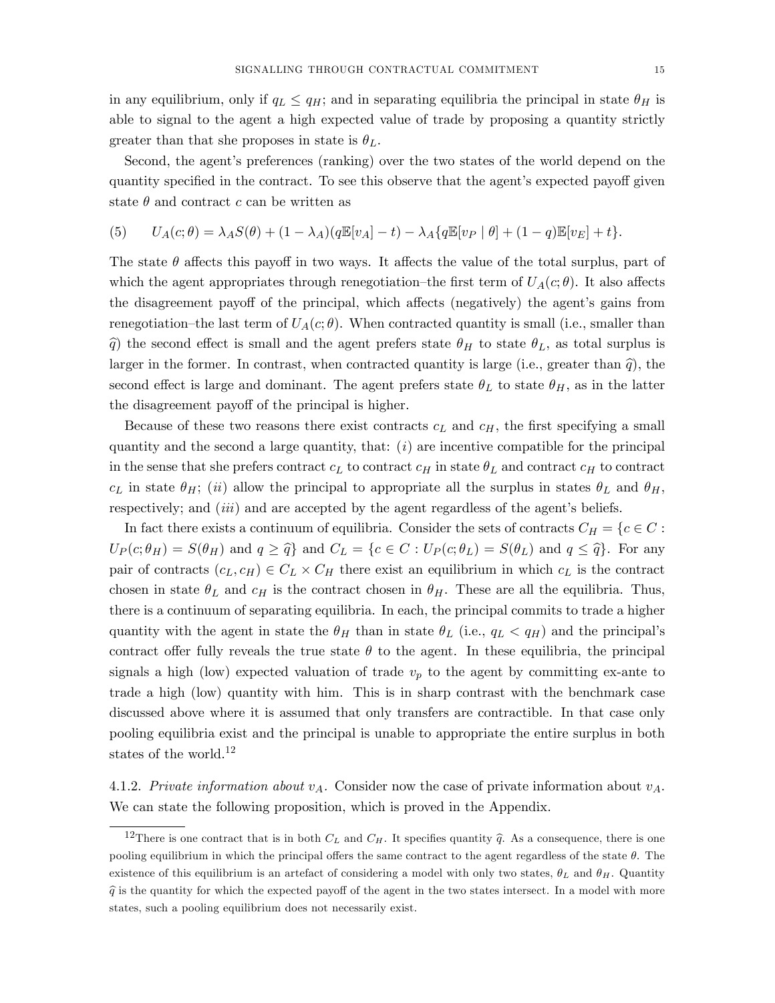in any equilibrium, only if  $q_L \leq q_H$ ; and in separating equilibria the principal in state  $\theta_H$  is able to signal to the agent a high expected value of trade by proposing a quantity strictly greater than that she proposes in state is  $\theta_L$ .

Second, the agent's preferences (ranking) over the two states of the world depend on the quantity specified in the contract. To see this observe that the agent's expected payoff given state  $\theta$  and contract c can be written as

(5) 
$$
U_A(c; \theta) = \lambda_A S(\theta) + (1 - \lambda_A)(q \mathbb{E}[v_A] - t) - \lambda_A \{q \mathbb{E}[v_P | \theta] + (1 - q) \mathbb{E}[v_E] + t\}.
$$

The state  $\theta$  affects this payoff in two ways. It affects the value of the total surplus, part of which the agent appropriates through renegotiation–the first term of  $U_A(c;\theta)$ . It also affects the disagreement payoff of the principal, which affects (negatively) the agent's gains from renegotiation–the last term of  $U_A(c;\theta)$ . When contracted quantity is small (i.e., smaller than  $\hat{q}$ ) the second effect is small and the agent prefers state  $\theta_H$  to state  $\theta_L$ , as total surplus is larger in the former. In contrast, when contracted quantity is large (i.e., greater than  $\hat{q}$ ), the second effect is large and dominant. The agent prefers state  $\theta_L$  to state  $\theta_H$ , as in the latter the disagreement payoff of the principal is higher.

Because of these two reasons there exist contracts  $c<sub>L</sub>$  and  $c<sub>H</sub>$ , the first specifying a small quantity and the second a large quantity, that:  $(i)$  are incentive compatible for the principal in the sense that she prefers contract  $c_L$  to contract  $c_H$  in state  $\theta_L$  and contract  $c_H$  to contract  $c_L$  in state  $\theta_H$ ; (ii) allow the principal to appropriate all the surplus in states  $\theta_L$  and  $\theta_H$ , respectively; and  $(iii)$  and are accepted by the agent regardless of the agent's beliefs.

In fact there exists a continuum of equilibria. Consider the sets of contracts  $C_H = \{c \in C :$  $U_P(c;\theta_H) = S(\theta_H)$  and  $q \geq \hat{q}$  and  $C_L = \{c \in C : U_P(c;\theta_L) = S(\theta_L)$  and  $q \leq \hat{q}\}$ . For any pair of contracts  $(c_L, c_H) \in C_L \times C_H$  there exist an equilibrium in which  $c_L$  is the contract chosen in state  $\theta_L$  and  $c_H$  is the contract chosen in  $\theta_H$ . These are all the equilibria. Thus, there is a continuum of separating equilibria. In each, the principal commits to trade a higher quantity with the agent in state the  $\theta_H$  than in state  $\theta_L$  (i.e.,  $q_L < q_H$ ) and the principal's contract offer fully reveals the true state  $\theta$  to the agent. In these equilibria, the principal signals a high (low) expected valuation of trade  $v_p$  to the agent by committing ex-ante to trade a high (low) quantity with him. This is in sharp contrast with the benchmark case discussed above where it is assumed that only transfers are contractible. In that case only pooling equilibria exist and the principal is unable to appropriate the entire surplus in both states of the world.<sup>12</sup>

4.1.2. Private information about  $v_A$ . Consider now the case of private information about  $v_A$ . We can state the following proposition, which is proved in the Appendix.

<sup>&</sup>lt;sup>12</sup>There is one contract that is in both  $C_L$  and  $C_H$ . It specifies quantity  $\hat{q}$ . As a consequence, there is one pooling equilibrium in which the principal offers the same contract to the agent regardless of the state  $\theta$ . The existence of this equilibrium is an artefact of considering a model with only two states,  $\theta_L$  and  $\theta_H$ . Quantity  $\hat{q}$  is the quantity for which the expected payoff of the agent in the two states intersect. In a model with more states, such a pooling equilibrium does not necessarily exist.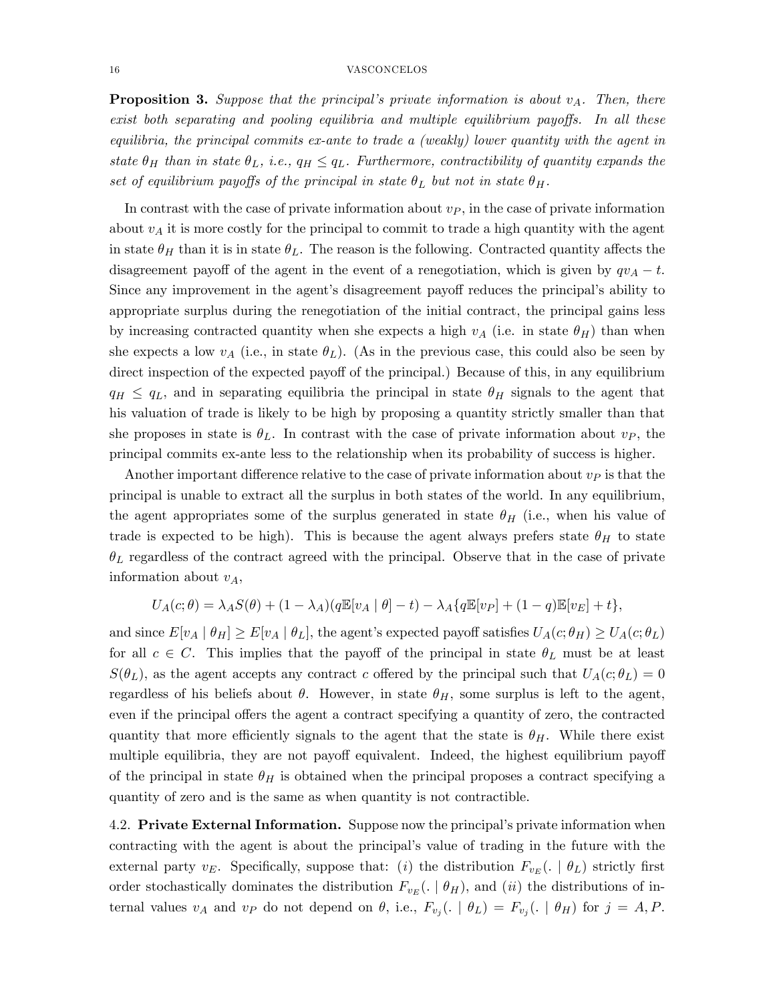**Proposition 3.** Suppose that the principal's private information is about  $v_A$ . Then, there  $exist\ both\ separating\ and\ pooling\ equilibria\ and\ multiple\ equilibrium\ payoffs.$  In all these equilibria, the principal commits ex-ante to trade a (weakly) lower quantity with the agent in state  $\theta_H$  than in state  $\theta_L$ , i.e.,  $q_H \leq q_L$ . Furthermore, contractibility of quantity expands the set of equilibrium payoffs of the principal in state  $\theta_L$  but not in state  $\theta_H$ .

In contrast with the case of private information about  $v<sub>P</sub>$ , in the case of private information about  $v_A$  it is more costly for the principal to commit to trade a high quantity with the agent in state  $\theta_H$  than it is in state  $\theta_L$ . The reason is the following. Contracted quantity affects the disagreement payoff of the agent in the event of a renegotiation, which is given by  $qv_A - t$ . Since any improvement in the agent's disagreement payoff reduces the principal's ability to appropriate surplus during the renegotiation of the initial contract, the principal gains less by increasing contracted quantity when she expects a high  $v_A$  (i.e. in state  $\theta_H$ ) than when she expects a low  $v_A$  (i.e., in state  $\theta_L$ ). (As in the previous case, this could also be seen by direct inspection of the expected payoff of the principal.) Because of this, in any equilibrium  $q_H \leq q_L$ , and in separating equilibria the principal in state  $\theta_H$  signals to the agent that his valuation of trade is likely to be high by proposing a quantity strictly smaller than that she proposes in state is  $\theta_L$ . In contrast with the case of private information about  $v_P$ , the principal commits ex-ante less to the relationship when its probability of success is higher.

Another important difference relative to the case of private information about  $v<sub>P</sub>$  is that the principal is unable to extract all the surplus in both states of the world. In any equilibrium, the agent appropriates some of the surplus generated in state  $\theta_H$  (i.e., when his value of trade is expected to be high). This is because the agent always prefers state  $\theta_H$  to state  $\theta_L$  regardless of the contract agreed with the principal. Observe that in the case of private information about  $v_A$ ,

$$
U_A(c; \theta) = \lambda_A S(\theta) + (1 - \lambda_A)(q \mathbb{E}[v_A \mid \theta] - t) - \lambda_A \{q \mathbb{E}[v_P] + (1 - q) \mathbb{E}[v_E] + t\},
$$

and since  $E[v_A | \theta_H] \ge E[v_A | \theta_L]$ , the agent's expected payoff satisfies  $U_A(c; \theta_H) \ge U_A(c; \theta_L)$ for all  $c \in C$ . This implies that the payoff of the principal in state  $\theta_L$  must be at least  $S(\theta_L)$ , as the agent accepts any contract c offered by the principal such that  $U_A(c;\theta_L) = 0$ regardless of his beliefs about  $\theta$ . However, in state  $\theta_H$ , some surplus is left to the agent, even if the principal offers the agent a contract specifying a quantity of zero, the contracted quantity that more efficiently signals to the agent that the state is  $\theta_H$ . While there exist multiple equilibria, they are not payoff equivalent. Indeed, the highest equilibrium payoff of the principal in state  $\theta_H$  is obtained when the principal proposes a contract specifying a quantity of zero and is the same as when quantity is not contractible.

4.2. Private External Information. Suppose now the principal's private information when contracting with the agent is about the principalís value of trading in the future with the external party  $v_E$ . Specifically, suppose that: (*i*) the distribution  $F_{v_E}$ ( $\cdot$  |  $\theta_L$ ) strictly first order stochastically dominates the distribution  $F_{v_E}$  ( $\mid \theta_H$ ), and (*ii*) the distributions of internal values  $v_A$  and  $v_P$  do not depend on  $\theta$ , i.e.,  $F_{v_j}(. \mid \theta_L) = F_{v_j}(. \mid \theta_H)$  for  $j = A, P$ .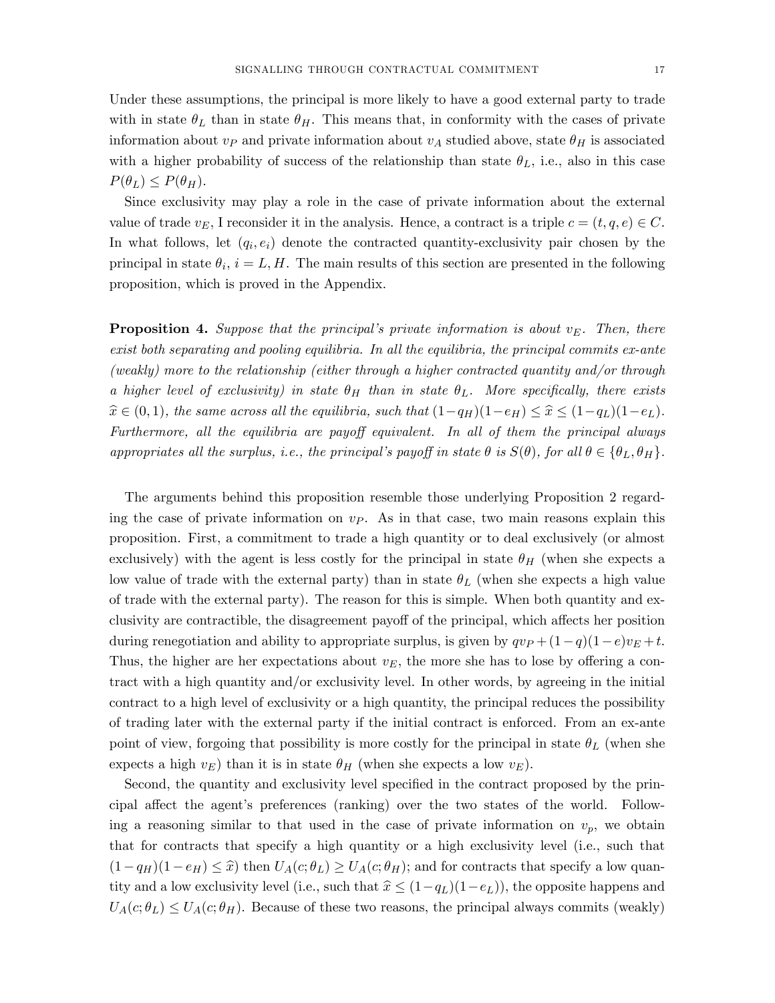Under these assumptions, the principal is more likely to have a good external party to trade with in state  $\theta_L$  than in state  $\theta_H$ . This means that, in conformity with the cases of private information about  $v_P$  and private information about  $v_A$  studied above, state  $\theta_H$  is associated with a higher probability of success of the relationship than state  $\theta_L$ , i.e., also in this case  $P(\theta_L) \leq P(\theta_H)$ .

Since exclusivity may play a role in the case of private information about the external value of trade  $v_E$ , I reconsider it in the analysis. Hence, a contract is a triple  $c = (t, q, e) \in C$ . In what follows, let  $(q_i, e_i)$  denote the contracted quantity-exclusivity pair chosen by the principal in state  $\theta_i$ ,  $i = L, H$ . The main results of this section are presented in the following proposition, which is proved in the Appendix.

**Proposition 4.** Suppose that the principal's private information is about  $v_E$ . Then, there exist both separating and pooling equilibria. In all the equilibria, the principal commits ex-ante (weakly) more to the relationship (either through a higher contracted quantity and/or through a higher level of exclusivity) in state  $\theta_H$  than in state  $\theta_L$ . More specifically, there exists  $\hat{x} \in (0, 1)$ , the same across all the equilibria, such that  $(1-q_H)(1-e_H) \leq \hat{x} \leq (1-q_L)(1-e_L)$ . Furthermore, all the equilibria are payoff equivalent. In all of them the principal always appropriates all the surplus, i.e., the principal's payoff in state  $\theta$  is  $S(\theta)$ , for all  $\theta \in {\theta_L, \theta_H}$ .

The arguments behind this proposition resemble those underlying Proposition 2 regarding the case of private information on  $v_P$ . As in that case, two main reasons explain this proposition. First, a commitment to trade a high quantity or to deal exclusively (or almost exclusively) with the agent is less costly for the principal in state  $\theta_H$  (when she expects a low value of trade with the external party) than in state  $\theta_L$  (when she expects a high value of trade with the external party). The reason for this is simple. When both quantity and exclusivity are contractible, the disagreement payoff of the principal, which affects her position during renegotiation and ability to appropriate surplus, is given by  $qv_P + (1-q)(1-e)v_E + t$ . Thus, the higher are her expectations about  $v_E$ , the more she has to lose by offering a contract with a high quantity and/or exclusivity level. In other words, by agreeing in the initial contract to a high level of exclusivity or a high quantity, the principal reduces the possibility of trading later with the external party if the initial contract is enforced. From an ex-ante point of view, forgoing that possibility is more costly for the principal in state  $\theta_L$  (when she expects a high  $v_E$ ) than it is in state  $\theta_H$  (when she expects a low  $v_E$ ).

Second, the quantity and exclusivity level specified in the contract proposed by the principal affect the agent's preferences (ranking) over the two states of the world. Following a reasoning similar to that used in the case of private information on  $v_p$ , we obtain that for contracts that specify a high quantity or a high exclusivity level (i.e., such that  $(1-q_H)(1-e_H) \leq \hat{x}$  then  $U_A(c;\theta_L) \geq U_A(c;\theta_H)$ ; and for contracts that specify a low quantity and a low exclusivity level (i.e., such that  $\hat{x} \leq (1-q_L)(1-e_L)$ ), the opposite happens and  $U_A(c;\theta_L) \leq U_A(c;\theta_H)$ . Because of these two reasons, the principal always commits (weakly)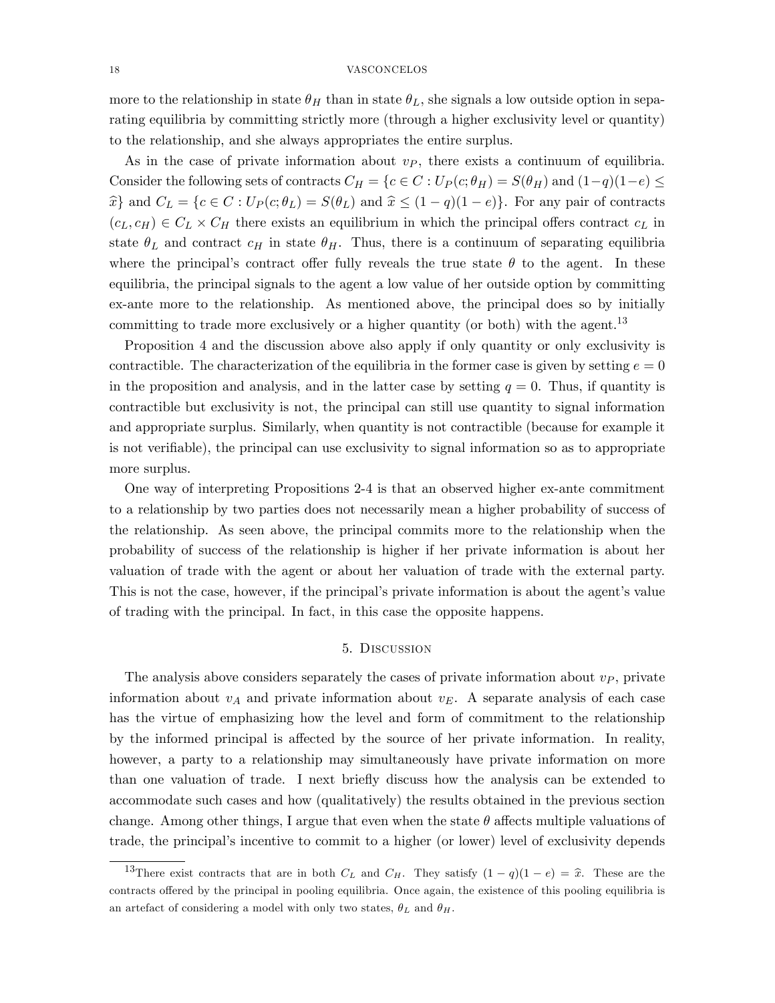more to the relationship in state  $\theta_H$  than in state  $\theta_L$ , she signals a low outside option in separating equilibria by committing strictly more (through a higher exclusivity level or quantity) to the relationship, and she always appropriates the entire surplus.

As in the case of private information about  $v_P$ , there exists a continuum of equilibria. Consider the following sets of contracts  $C_H = \{c \in C : U_P(c; \theta_H) = S(\theta_H) \text{ and } (1-q)(1-e) \leq$  $\hat{x}$  and  $C_L = \{c \in C : U_P(c; \theta_L) = S(\theta_L) \text{ and } \hat{x} \leq (1 - q)(1 - e)\}.$  For any pair of contracts  $(c_L, c_H) \in C_L \times C_H$  there exists an equilibrium in which the principal offers contract  $c_L$  in state  $\theta_L$  and contract  $c_H$  in state  $\theta_H$ . Thus, there is a continuum of separating equilibria where the principal's contract offer fully reveals the true state  $\theta$  to the agent. In these equilibria, the principal signals to the agent a low value of her outside option by committing ex-ante more to the relationship. As mentioned above, the principal does so by initially committing to trade more exclusively or a higher quantity (or both) with the agent.<sup>13</sup>

Proposition 4 and the discussion above also apply if only quantity or only exclusivity is contractible. The characterization of the equilibria in the former case is given by setting  $e = 0$ in the proposition and analysis, and in the latter case by setting  $q = 0$ . Thus, if quantity is contractible but exclusivity is not, the principal can still use quantity to signal information and appropriate surplus. Similarly, when quantity is not contractible (because for example it is not verifiable), the principal can use exclusivity to signal information so as to appropriate more surplus.

One way of interpreting Propositions 2-4 is that an observed higher ex-ante commitment to a relationship by two parties does not necessarily mean a higher probability of success of the relationship. As seen above, the principal commits more to the relationship when the probability of success of the relationship is higher if her private information is about her valuation of trade with the agent or about her valuation of trade with the external party. This is not the case, however, if the principal's private information is about the agent's value of trading with the principal. In fact, in this case the opposite happens.

## 5. Discussion

The analysis above considers separately the cases of private information about  $v<sub>P</sub>$ , private information about  $v_A$  and private information about  $v_E$ . A separate analysis of each case has the virtue of emphasizing how the level and form of commitment to the relationship by the informed principal is affected by the source of her private information. In reality, however, a party to a relationship may simultaneously have private information on more than one valuation of trade. I next brieáy discuss how the analysis can be extended to accommodate such cases and how (qualitatively) the results obtained in the previous section change. Among other things, I argue that even when the state  $\theta$  affects multiple valuations of trade, the principalís incentive to commit to a higher (or lower) level of exclusivity depends

<sup>&</sup>lt;sup>13</sup>There exist contracts that are in both  $C_L$  and  $C_H$ . They satisfy  $(1 - q)(1 - e) = \hat{x}$ . These are the contracts offered by the principal in pooling equilibria. Once again, the existence of this pooling equilibria is an artefact of considering a model with only two states,  $\theta_L$  and  $\theta_H$ .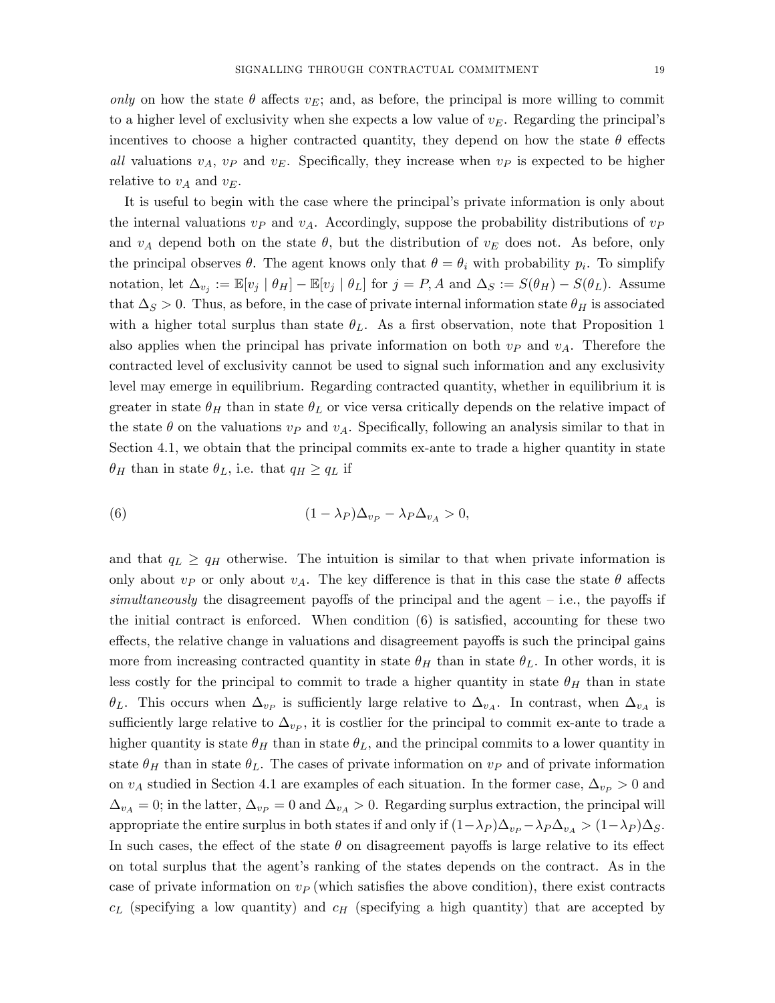only on how the state  $\theta$  affects  $v_E$ ; and, as before, the principal is more willing to commit to a higher level of exclusivity when she expects a low value of  $v_E$ . Regarding the principal's incentives to choose a higher contracted quantity, they depend on how the state  $\theta$  effects all valuations  $v_A$ ,  $v_P$  and  $v_E$ . Specifically, they increase when  $v_P$  is expected to be higher relative to  $v_A$  and  $v_E$ .

It is useful to begin with the case where the principal's private information is only about the internal valuations  $v_P$  and  $v_A$ . Accordingly, suppose the probability distributions of  $v_P$ and  $v_A$  depend both on the state  $\theta$ , but the distribution of  $v_E$  does not. As before, only the principal observes  $\theta$ . The agent knows only that  $\theta = \theta_i$  with probability  $p_i$ . To simplify notation, let  $\Delta_{v_j} := \mathbb{E}[v_j \mid \theta_H] - \mathbb{E}[v_j \mid \theta_L]$  for  $j = P, A$  and  $\Delta_S := S(\theta_H) - S(\theta_L)$ . Assume that  $\Delta_S > 0$ . Thus, as before, in the case of private internal information state  $\theta_H$  is associated with a higher total surplus than state  $\theta_L$ . As a first observation, note that Proposition 1 also applies when the principal has private information on both  $v_P$  and  $v_A$ . Therefore the contracted level of exclusivity cannot be used to signal such information and any exclusivity level may emerge in equilibrium. Regarding contracted quantity, whether in equilibrium it is greater in state  $\theta_H$  than in state  $\theta_L$  or vice versa critically depends on the relative impact of the state  $\theta$  on the valuations  $v_P$  and  $v_A$ . Specifically, following an analysis similar to that in Section 4.1, we obtain that the principal commits ex-ante to trade a higher quantity in state  $\theta_H$  than in state  $\theta_L$ , i.e. that  $q_H \ge q_L$  if

(6) 
$$
(1 - \lambda_P) \Delta_{v_P} - \lambda_P \Delta_{v_A} > 0,
$$

and that  $q_L \ge q_H$  otherwise. The intuition is similar to that when private information is only about  $v_P$  or only about  $v_A$ . The key difference is that in this case the state  $\theta$  affects simultaneously the disagreement payoffs of the principal and the agent  $-$  i.e., the payoffs if the initial contract is enforced. When condition  $(6)$  is satisfied, accounting for these two effects, the relative change in valuations and disagreement payoffs is such the principal gains more from increasing contracted quantity in state  $\theta_H$  than in state  $\theta_L$ . In other words, it is less costly for the principal to commit to trade a higher quantity in state  $\theta_H$  than in state  $\theta_L$ . This occurs when  $\Delta_{v_P}$  is sufficiently large relative to  $\Delta_{v_A}$ . In contrast, when  $\Delta_{v_A}$  is sufficiently large relative to  $\Delta_{vp}$ , it is costlier for the principal to commit ex-ante to trade a higher quantity is state  $\theta_H$  than in state  $\theta_L$ , and the principal commits to a lower quantity in state  $\theta_H$  than in state  $\theta_L$ . The cases of private information on  $v_P$  and of private information on  $v_A$  studied in Section 4.1 are examples of each situation. In the former case,  $\Delta_{v_P} > 0$  and  $\Delta_{v_A} = 0$ ; in the latter,  $\Delta_{v_P} = 0$  and  $\Delta_{v_A} > 0$ . Regarding surplus extraction, the principal will appropriate the entire surplus in both states if and only if  $(1-\lambda_P)\Delta_{v_P} - \lambda_P \Delta_{v_A} > (1-\lambda_P)\Delta_S$ . In such cases, the effect of the state  $\theta$  on disagreement payoffs is large relative to its effect on total surplus that the agent's ranking of the states depends on the contract. As in the case of private information on  $v_P$  (which satisfies the above condition), there exist contracts  $c_L$  (specifying a low quantity) and  $c_H$  (specifying a high quantity) that are accepted by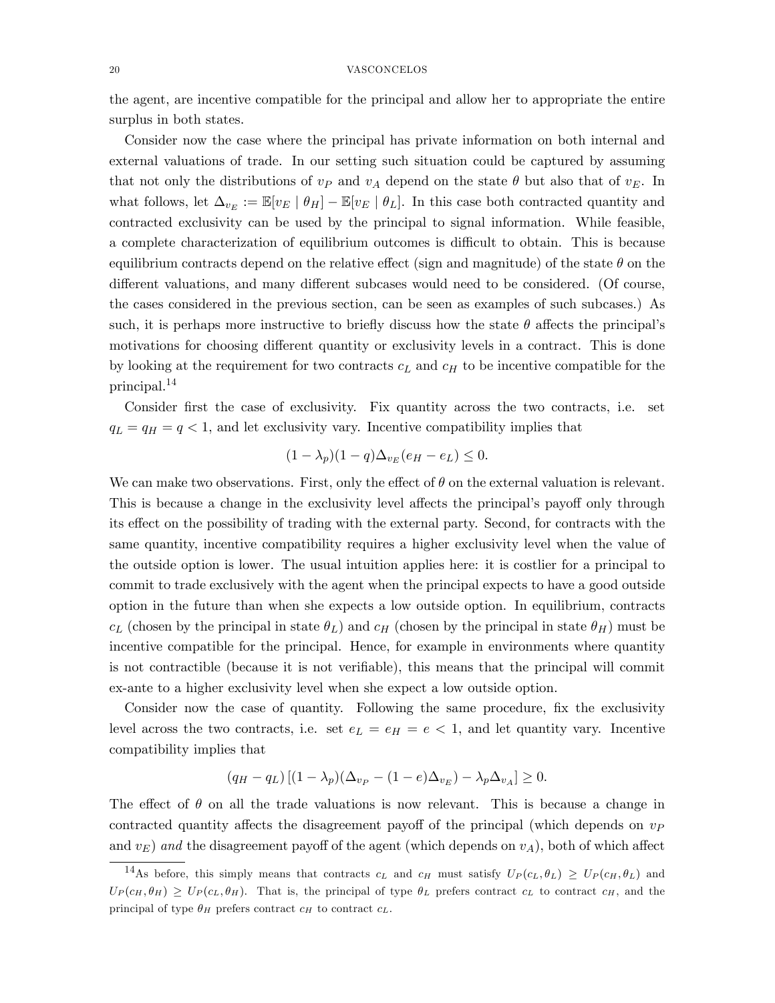the agent, are incentive compatible for the principal and allow her to appropriate the entire surplus in both states.

Consider now the case where the principal has private information on both internal and external valuations of trade. In our setting such situation could be captured by assuming that not only the distributions of  $v_P$  and  $v_A$  depend on the state  $\theta$  but also that of  $v_E$ . In what follows, let  $\Delta_{v_E} := \mathbb{E}[v_E \mid \theta_H] - \mathbb{E}[v_E \mid \theta_L]$ . In this case both contracted quantity and contracted exclusivity can be used by the principal to signal information. While feasible, a complete characterization of equilibrium outcomes is difficult to obtain. This is because equilibrium contracts depend on the relative effect (sign and magnitude) of the state  $\theta$  on the different valuations, and many different subcases would need to be considered. (Of course, the cases considered in the previous section, can be seen as examples of such subcases.) As such, it is perhaps more instructive to briefly discuss how the state  $\theta$  affects the principal's motivations for choosing different quantity or exclusivity levels in a contract. This is done by looking at the requirement for two contracts  $c<sub>L</sub>$  and  $c<sub>H</sub>$  to be incentive compatible for the principal.<sup>14</sup>

Consider first the case of exclusivity. Fix quantity across the two contracts, i.e. set  $q_L = q_H = q < 1$ , and let exclusivity vary. Incentive compatibility implies that

$$
(1 - \lambda_p)(1 - q)\Delta_{v_E}(e_H - e_L) \le 0.
$$

We can make two observations. First, only the effect of  $\theta$  on the external valuation is relevant. This is because a change in the exclusivity level affects the principal's payoff only through its effect on the possibility of trading with the external party. Second, for contracts with the same quantity, incentive compatibility requires a higher exclusivity level when the value of the outside option is lower. The usual intuition applies here: it is costlier for a principal to commit to trade exclusively with the agent when the principal expects to have a good outside option in the future than when she expects a low outside option. In equilibrium, contracts  $c_L$  (chosen by the principal in state  $\theta_L$ ) and  $c_H$  (chosen by the principal in state  $\theta_H$ ) must be incentive compatible for the principal. Hence, for example in environments where quantity is not contractible (because it is not verifiable), this means that the principal will commit ex-ante to a higher exclusivity level when she expect a low outside option.

Consider now the case of quantity. Following the same procedure, fix the exclusivity level across the two contracts, i.e. set  $e_L = e_H = e < 1$ , and let quantity vary. Incentive compatibility implies that

$$
(q_H - q_L) \left[ (1 - \lambda_p) (\Delta_{v_P} - (1 - e) \Delta_{v_E}) - \lambda_p \Delta_{v_A} \right] \ge 0.
$$

The effect of  $\theta$  on all the trade valuations is now relevant. This is because a change in contracted quantity affects the disagreement payoff of the principal (which depends on  $v<sub>P</sub>$ and  $v_F$ ) and the disagreement payoff of the agent (which depends on  $v_A$ ), both of which affect

<sup>&</sup>lt;sup>14</sup>As before, this simply means that contracts  $c_L$  and  $c_H$  must satisfy  $U_P(c_L, \theta_L) \ge U_P(c_H, \theta_L)$  and  $U_P(c_H, \theta_H) \geq U_P(c_L, \theta_H)$ . That is, the principal of type  $\theta_L$  prefers contract  $c_L$  to contract  $c_H$ , and the principal of type  $\theta_H$  prefers contract  $c_H$  to contract  $c_L$ .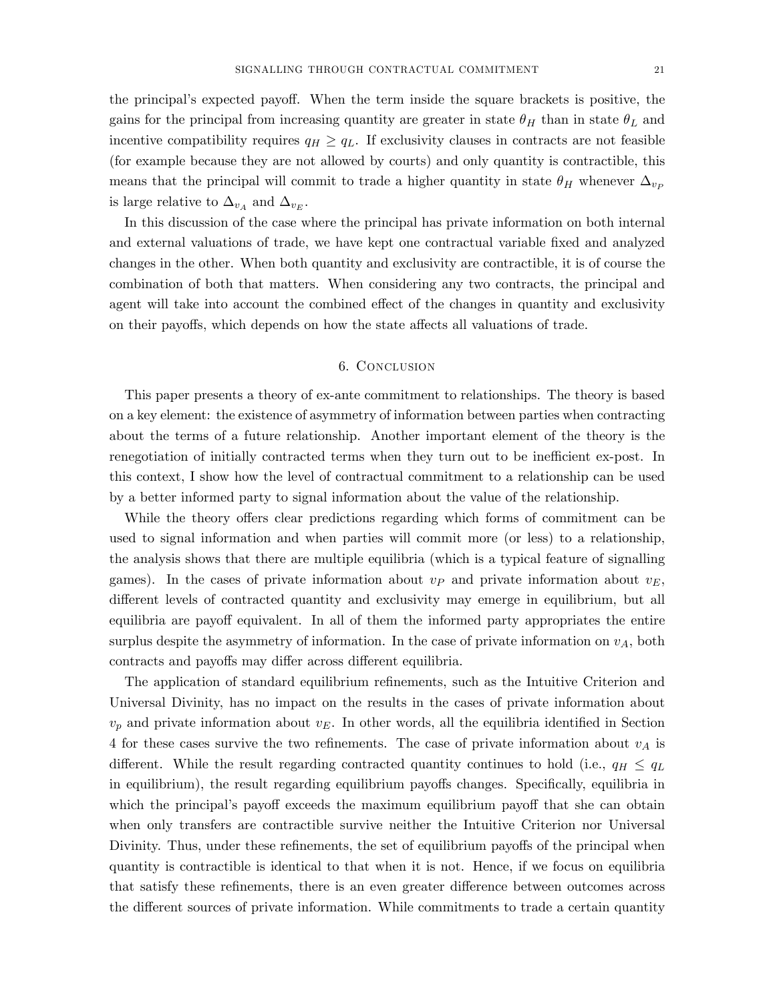the principal's expected payoff. When the term inside the square brackets is positive, the gains for the principal from increasing quantity are greater in state  $\theta_H$  than in state  $\theta_L$  and incentive compatibility requires  $q_H \ge q_L$ . If exclusivity clauses in contracts are not feasible (for example because they are not allowed by courts) and only quantity is contractible, this means that the principal will commit to trade a higher quantity in state  $\theta_H$  whenever  $\Delta_{vp}$ is large relative to  $\Delta_{v_A}$  and  $\Delta_{v_E}$ .

In this discussion of the case where the principal has private information on both internal and external valuations of trade, we have kept one contractual variable Öxed and analyzed changes in the other. When both quantity and exclusivity are contractible, it is of course the combination of both that matters. When considering any two contracts, the principal and agent will take into account the combined effect of the changes in quantity and exclusivity on their payoffs, which depends on how the state affects all valuations of trade.

## 6. Conclusion

This paper presents a theory of ex-ante commitment to relationships. The theory is based on a key element: the existence of asymmetry of information between parties when contracting about the terms of a future relationship. Another important element of the theory is the renegotiation of initially contracted terms when they turn out to be inefficient ex-post. In this context, I show how the level of contractual commitment to a relationship can be used by a better informed party to signal information about the value of the relationship.

While the theory offers clear predictions regarding which forms of commitment can be used to signal information and when parties will commit more (or less) to a relationship, the analysis shows that there are multiple equilibria (which is a typical feature of signalling games). In the cases of private information about  $v_P$  and private information about  $v_E$ , different levels of contracted quantity and exclusivity may emerge in equilibrium, but all equilibria are payoff equivalent. In all of them the informed party appropriates the entire surplus despite the asymmetry of information. In the case of private information on  $v_A$ , both contracts and payoffs may differ across different equilibria.

The application of standard equilibrium refinements, such as the Intuitive Criterion and Universal Divinity, has no impact on the results in the cases of private information about  $v_p$  and private information about  $v_E$ . In other words, all the equilibria identified in Section 4 for these cases survive the two refinements. The case of private information about  $v_A$  is different. While the result regarding contracted quantity continues to hold (i.e.,  $q_H \leq q_L$ in equilibrium), the result regarding equilibrium payoffs changes. Specifically, equilibria in which the principal's payoff exceeds the maximum equilibrium payoff that she can obtain when only transfers are contractible survive neither the Intuitive Criterion nor Universal Divinity. Thus, under these refinements, the set of equilibrium payoffs of the principal when quantity is contractible is identical to that when it is not. Hence, if we focus on equilibria that satisfy these refinements, there is an even greater difference between outcomes across the different sources of private information. While commitments to trade a certain quantity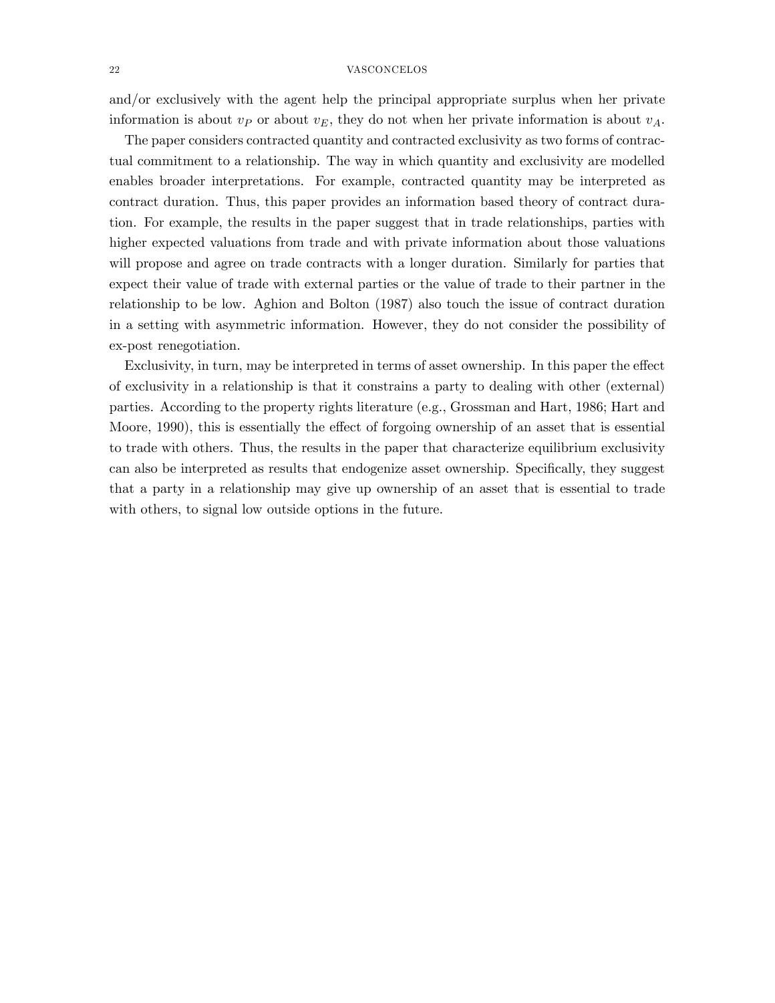and/or exclusively with the agent help the principal appropriate surplus when her private information is about  $v_P$  or about  $v_E$ , they do not when her private information is about  $v_A$ .

The paper considers contracted quantity and contracted exclusivity as two forms of contractual commitment to a relationship. The way in which quantity and exclusivity are modelled enables broader interpretations. For example, contracted quantity may be interpreted as contract duration. Thus, this paper provides an information based theory of contract duration. For example, the results in the paper suggest that in trade relationships, parties with higher expected valuations from trade and with private information about those valuations will propose and agree on trade contracts with a longer duration. Similarly for parties that expect their value of trade with external parties or the value of trade to their partner in the relationship to be low. Aghion and Bolton (1987) also touch the issue of contract duration in a setting with asymmetric information. However, they do not consider the possibility of ex-post renegotiation.

Exclusivity, in turn, may be interpreted in terms of asset ownership. In this paper the effect of exclusivity in a relationship is that it constrains a party to dealing with other (external) parties. According to the property rights literature (e.g., Grossman and Hart, 1986; Hart and Moore, 1990), this is essentially the effect of forgoing ownership of an asset that is essential to trade with others. Thus, the results in the paper that characterize equilibrium exclusivity can also be interpreted as results that endogenize asset ownership. Specifically, they suggest that a party in a relationship may give up ownership of an asset that is essential to trade with others, to signal low outside options in the future.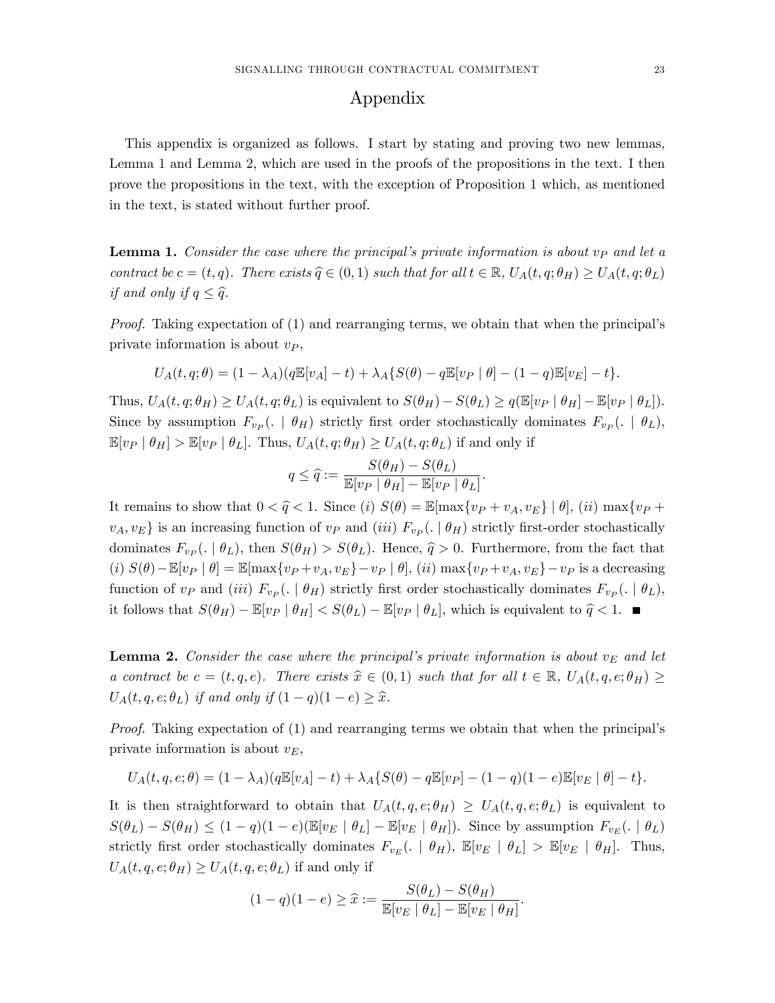## Appendix

This appendix is organized as follows. I start by stating and proving two new lemmas, Lemma 1 and Lemma 2, which are used in the proofs of the propositions in the text. I then prove the propositions in the text, with the exception of Proposition 1 which, as mentioned in the text, is stated without further proof.

**Lemma 1.** Consider the case where the principal's private information is about  $v_P$  and let a contract be  $c = (t, q)$ . There exists  $\hat{q} \in (0, 1)$  such that for all  $t \in \mathbb{R}$ ,  $U_A(t, q; \theta_H) \geq U_A(t, q; \theta_L)$ if and only if  $q \leq \hat{q}$ .

*Proof.* Taking expectation of  $(1)$  and rearranging terms, we obtain that when the principal's private information is about  $v_P$ ,

$$
U_A(t, q; \theta) = (1 - \lambda_A)(q \mathbb{E}[v_A] - t) + \lambda_A \{ S(\theta) - q \mathbb{E}[v_P | \theta] - (1 - q) \mathbb{E}[v_E] - t \}.
$$

Thus,  $U_A(t, q; \theta_H) \geq U_A(t, q; \theta_L)$  is equivalent to  $S(\theta_H) - S(\theta_L) \geq q(\mathbb{E}[v_P | \theta_H] - \mathbb{E}[v_P | \theta_L]).$ Since by assumption  $F_{v_P}(. \mid \theta_H)$  strictly first order stochastically dominates  $F_{v_P}(. \mid \theta_L)$ ,  $\mathbb{E}[v_P | \theta_H] > \mathbb{E}[v_P | \theta_L].$  Thus,  $U_A(t, q; \theta_H) \geq U_A(t, q; \theta_L)$  if and only if

$$
q \leq \widehat{q} := \frac{S(\theta_H) - S(\theta_L)}{\mathbb{E}[v_P | \theta_H] - \mathbb{E}[v_P | \theta_L]}.
$$

It remains to show that  $0 < \hat{q} < 1$ . Since (i)  $S(\theta) = \mathbb{E}[\max\{v_P + v_A, v_E\} | \theta],$  (ii)  $\max\{v_P + v_A, v_E\}$  $v_A, v_E$  is an increasing function of  $v_P$  and (iii)  $F_{v_P}(. \mid \theta_H)$  strictly first-order stochastically dominates  $F_{vp}(. | \theta_L)$ , then  $S(\theta_H) > S(\theta_L)$ . Hence,  $\hat{q} > 0$ . Furthermore, from the fact that (i)  $S(\theta) - \mathbb{E}[v_P | \theta] = \mathbb{E}[\max\{v_P + v_A, v_E\} - v_P | \theta]$ , (ii)  $\max\{v_P + v_A, v_E\} - v_P$  is a decreasing function of  $v_P$  and (iii)  $F_{v_P}(. \mid \theta_H)$  strictly first order stochastically dominates  $F_{v_P}(. \mid \theta_L)$ , it follows that  $S(\theta_H) - \mathbb{E}[v_P | \theta_H] < S(\theta_L) - \mathbb{E}[v_P | \theta_L]$ , which is equivalent to  $\hat{q} < 1$ .

**Lemma 2.** Consider the case where the principal's private information is about  $v<sub>E</sub>$  and let a contract be  $c = (t, q, e)$ . There exists  $\hat{x} \in (0, 1)$  such that for all  $t \in \mathbb{R}$ ,  $U_A(t, q, e; \theta_H) \ge$  $U_A(t, q, e; \theta_L)$  if and only if  $(1 - q)(1 - e) \geq \hat{x}$ .

*Proof.* Taking expectation of  $(1)$  and rearranging terms we obtain that when the principal's private information is about  $v_E$ ,

$$
U_A(t, q, e; \theta) = (1 - \lambda_A)(q \mathbb{E}[v_A] - t) + \lambda_A \{ S(\theta) - q \mathbb{E}[v_P] - (1 - q)(1 - e) \mathbb{E}[v_E | \theta] - t \}.
$$

It is then straightforward to obtain that  $U_A(t, q, e; \theta_H) \geq U_A(t, q, e; \theta_L)$  is equivalent to  $S(\theta_L) - S(\theta_H) \leq (1 - q)(1 - e)(\mathbb{E}[v_E \mid \theta_L] - \mathbb{E}[v_E \mid \theta_H])$ . Since by assumption  $F_{v_E}$ (.  $|\theta_L$ ) strictly first order stochastically dominates  $F_{v_E}$ (.  $|\theta_H|$ ,  $\mathbb{E}[v_E | \theta_L] > \mathbb{E}[v_E | \theta_H]$ . Thus,  $U_A(t,q,e;\theta_H) \geq U_A(t,q,e;\theta_L)$  if and only if

$$
(1-q)(1-e) \geq \widehat{x} := \frac{S(\theta_L) - S(\theta_H)}{\mathbb{E}[v_E \mid \theta_L] - \mathbb{E}[v_E \mid \theta_H]}.
$$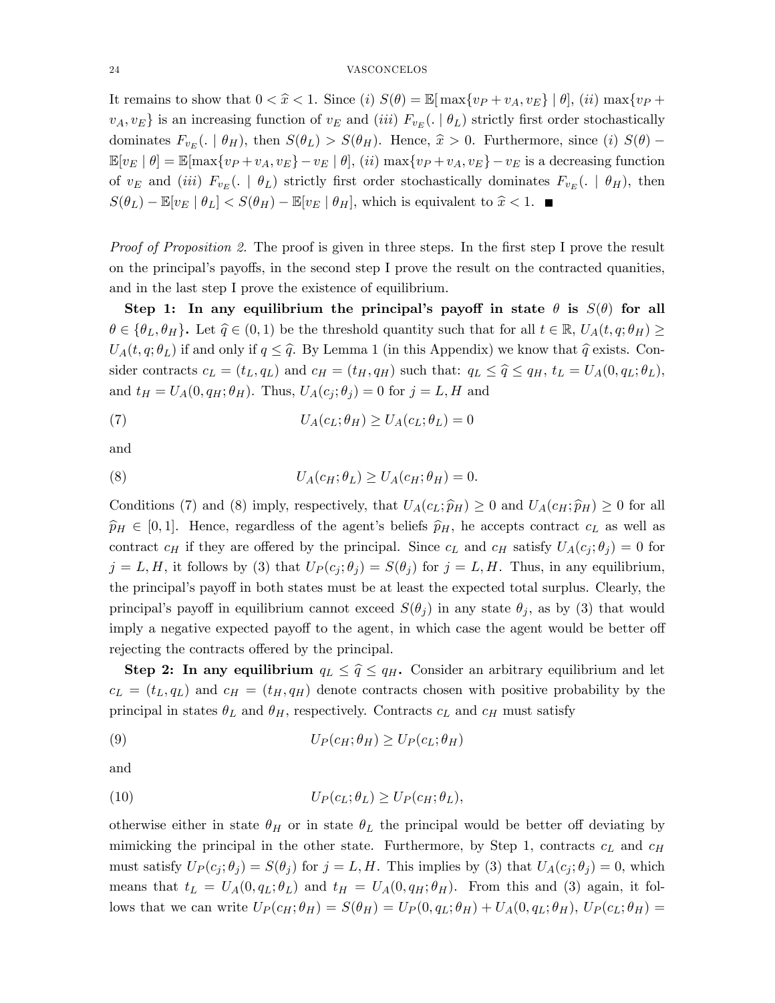It remains to show that  $0 < \hat{x} < 1$ . Since (i)  $S(\theta) = \mathbb{E}[\max\{v_P + v_A, v_E\} | \theta],$  (ii)  $\max\{v_P + v_A, v_F\}$  $v_A, v_E$  is an increasing function of  $v_E$  and (iii)  $F_{v_E}$ (.  $\vert \theta_L$ ) strictly first order stochastically dominates  $F_{v_E}$ (.  $|\theta_H$ ), then  $S(\theta_L) > S(\theta_H)$ . Hence,  $\hat{x} > 0$ . Furthermore, since (i)  $S(\theta)$  –  $\mathbb{E}[v_E | \theta] = \mathbb{E}[\max\{v_P + v_A, v_E\} - v_E | \theta],$  (*ii*)  $\max\{v_P + v_A, v_E\} - v_E$  is a decreasing function of  $v_E$  and (iii)  $F_{v_E}$ ( $\cdot$  |  $\theta_L$ ) strictly first order stochastically dominates  $F_{v_E}$ ( $\cdot$  |  $\theta_H$ ), then  $S(\theta_L) - \mathbb{E}[v_E \mid \theta_L] < S(\theta_H) - \mathbb{E}[v_E \mid \theta_H]$ , which is equivalent to  $\hat{x} < 1$ .

*Proof of Proposition 2.* The proof is given in three steps. In the first step I prove the result on the principal's payoffs, in the second step I prove the result on the contracted quanities, and in the last step I prove the existence of equilibrium.

Step 1: In any equilibrium the principal's payoff in state  $\theta$  is  $S(\theta)$  for all  $\theta \in {\theta_L, \theta_H}$ . Let  $\hat{q} \in (0, 1)$  be the threshold quantity such that for all  $t \in \mathbb{R}$ ,  $U_A(t, q; \theta_H) \ge$  $U_A(t, q; \theta_L)$  if and only if  $q \leq \hat{q}$ . By Lemma 1 (in this Appendix) we know that  $\hat{q}$  exists. Consider contracts  $c_L = (t_L, q_L)$  and  $c_H = (t_H, q_H)$  such that:  $q_L \leq \hat{q} \leq q_H$ ,  $t_L = U_A(0, q_L; \theta_L)$ , and  $t_H = U_A(0, q_H; \theta_H)$ . Thus,  $U_A(c_i; \theta_i) = 0$  for  $j = L, H$  and

(7) 
$$
U_A(c_L; \theta_H) \ge U_A(c_L; \theta_L) = 0
$$

and

(8) 
$$
U_A(c_H; \theta_L) \geq U_A(c_H; \theta_H) = 0.
$$

Conditions (7) and (8) imply, respectively, that  $U_A(c_L; \hat{p}_H) \geq 0$  and  $U_A(c_H; \hat{p}_H) \geq 0$  for all  $\hat{p}_H \in [0, 1]$ . Hence, regardless of the agent's beliefs  $\hat{p}_H$ , he accepts contract  $c_L$  as well as contract  $c_H$  if they are offered by the principal. Since  $c_L$  and  $c_H$  satisfy  $U_A(c_i; \theta_i) = 0$  for  $j = L, H$ , it follows by (3) that  $U_P(c_j; \theta_j) = S(\theta_j)$  for  $j = L, H$ . Thus, in any equilibrium, the principal's payoff in both states must be at least the expected total surplus. Clearly, the principal's payoff in equilibrium cannot exceed  $S(\theta_j)$  in any state  $\theta_j$ , as by (3) that would imply a negative expected payoff to the agent, in which case the agent would be better of rejecting the contracts offered by the principal.

Step 2: In any equilibrium  $q_L \leq \hat{q} \leq q_H$ . Consider an arbitrary equilibrium and let  $c_L = (t_L, q_L)$  and  $c_H = (t_H, q_H)$  denote contracts chosen with positive probability by the principal in states  $\theta_L$  and  $\theta_H$ , respectively. Contracts  $c_L$  and  $c_H$  must satisfy

(9) 
$$
U_P(c_H; \theta_H) \ge U_P(c_L; \theta_H)
$$

and

(10) 
$$
U_P(c_L; \theta_L) \geq U_P(c_H; \theta_L),
$$

otherwise either in state  $\theta_H$  or in state  $\theta_L$  the principal would be better off deviating by mimicking the principal in the other state. Furthermore, by Step 1, contracts  $c<sub>L</sub>$  and  $c<sub>H</sub>$ must satisfy  $U_P(c_j;\theta_j) = S(\theta_j)$  for  $j = L, H$ . This implies by (3) that  $U_A(c_j;\theta_j) = 0$ , which means that  $t_L = U_A(0, q_L; \theta_L)$  and  $t_H = U_A(0, q_H; \theta_H)$ . From this and (3) again, it follows that we can write  $U_P(c_H; \theta_H) = S(\theta_H) = U_P(0, q_L; \theta_H) + U_A(0, q_L; \theta_H)$ ,  $U_P(c_L; \theta_H) =$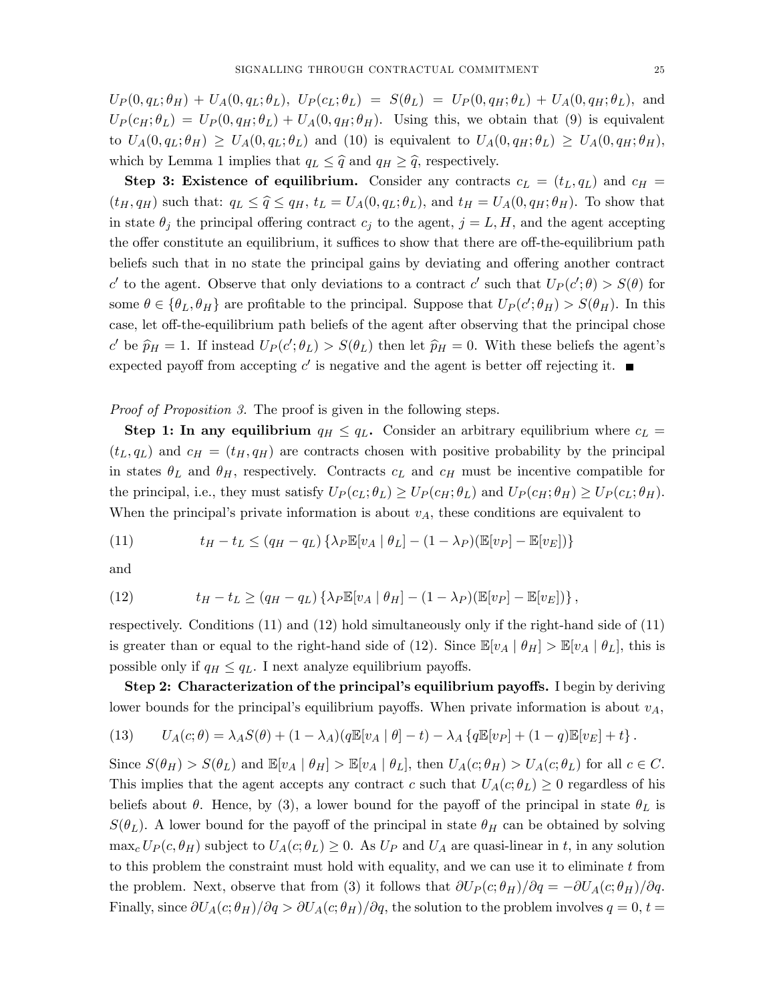$U_P(0, q_L; \theta_H) + U_A(0, q_L; \theta_L), U_P(c_L; \theta_L) = S(\theta_L) = U_P(0, q_H; \theta_L) + U_A(0, q_H; \theta_L),$  and  $U_P(c_H;\theta_L) = U_P(0,q_H;\theta_L) + U_A(0,q_H;\theta_H)$ . Using this, we obtain that (9) is equivalent to  $U_A(0,q_L;\theta_H) \geq U_A(0,q_L;\theta_L)$  and (10) is equivalent to  $U_A(0,q_H;\theta_L) \geq U_A(0,q_H;\theta_H)$ , which by Lemma 1 implies that  $q_L \leq \hat{q}$  and  $q_H \geq \hat{q}$ , respectively.

Step 3: Existence of equilibrium. Consider any contracts  $c_L = (t_L, q_L)$  and  $c_H =$  $(t_H, q_H)$  such that:  $q_L \leq \hat{q} \leq q_H$ ,  $t_L = U_A(0, q_L; \theta_L)$ , and  $t_H = U_A(0, q_H; \theta_H)$ . To show that in state  $\theta_j$  the principal offering contract  $c_j$  to the agent,  $j = L, H$ , and the agent accepting the offer constitute an equilibrium, it suffices to show that there are off-the-equilibrium path beliefs such that in no state the principal gains by deviating and offering another contract c' to the agent. Observe that only deviations to a contract c' such that  $U_P(c';\theta) > S(\theta)$  for some  $\theta \in {\theta_L, \theta_H}$  are profitable to the principal. Suppose that  $U_P(c'; \theta_H) > S(\theta_H)$ . In this case, let off-the-equilibrium path beliefs of the agent after observing that the principal chose c' be  $\hat{p}_H = 1$ . If instead  $U_P(c'; \theta_L) > S(\theta_L)$  then let  $\hat{p}_H = 0$ . With these beliefs the agent's expected payoff from accepting  $c'$  is negative and the agent is better off rejecting it.

Proof of Proposition 3. The proof is given in the following steps.

**Step 1:** In any equilibrium  $q_H \leq q_L$ . Consider an arbitrary equilibrium where  $c_L$  =  $(t_L, q_L)$  and  $c_H = (t_H, q_H)$  are contracts chosen with positive probability by the principal in states  $\theta_L$  and  $\theta_H$ , respectively. Contracts  $c_L$  and  $c_H$  must be incentive compatible for the principal, i.e., they must satisfy  $U_P(c_L; \theta_L) \ge U_P(c_H; \theta_L)$  and  $U_P(c_H; \theta_H) \ge U_P(c_L; \theta_H)$ . When the principal's private information is about  $v_A$ , these conditions are equivalent to

(11) 
$$
t_H - t_L \le (q_H - q_L) \left\{ \lambda_P \mathbb{E}[v_A | \theta_L] - (1 - \lambda_P) (\mathbb{E}[v_P] - \mathbb{E}[v_E]) \right\}
$$

and

(12) 
$$
t_H - t_L \ge (q_H - q_L) \left\{ \lambda_P \mathbb{E}[v_A | \theta_H] - (1 - \lambda_P) (\mathbb{E}[v_P] - \mathbb{E}[v_E]) \right\},
$$

respectively. Conditions (11) and (12) hold simultaneously only if the right-hand side of (11) is greater than or equal to the right-hand side of (12). Since  $\mathbb{E}[v_A | \theta_H] > \mathbb{E}[v_A | \theta_L]$ , this is possible only if  $q_H \leq q_L$ . I next analyze equilibrium payoffs.

Step 2: Characterization of the principal's equilibrium payoffs. I begin by deriving lower bounds for the principal's equilibrium payoffs. When private information is about  $v_A$ ,

(13) 
$$
U_A(c; \theta) = \lambda_A S(\theta) + (1 - \lambda_A)(q \mathbb{E}[v_A | \theta] - t) - \lambda_A \{q \mathbb{E}[v_P] + (1 - q) \mathbb{E}[v_E] + t\}.
$$

Since  $S(\theta_H) > S(\theta_L)$  and  $\mathbb{E}[v_A | \theta_H] > \mathbb{E}[v_A | \theta_L]$ , then  $U_A(c; \theta_H) > U_A(c; \theta_L)$  for all  $c \in C$ . This implies that the agent accepts any contract c such that  $U_A(c;\theta_L) \geq 0$  regardless of his beliefs about  $\theta$ . Hence, by (3), a lower bound for the payoff of the principal in state  $\theta_L$  is  $S(\theta_L)$ . A lower bound for the payoff of the principal in state  $\theta_H$  can be obtained by solving  $\max_c U_P(c, \theta_H)$  subject to  $U_A(c; \theta_L) \geq 0$ . As  $U_P$  and  $U_A$  are quasi-linear in t, in any solution to this problem the constraint must hold with equality, and we can use it to eliminate  $t$  from the problem. Next, observe that from (3) it follows that  $\partial U_P(c; \theta_H)/\partial q = -\partial U_A(c; \theta_H)/\partial q$ . Finally, since  $\partial U_A(c;\theta_H)/\partial q > \partial U_A(c;\theta_H)/\partial q$ , the solution to the problem involves  $q = 0, t =$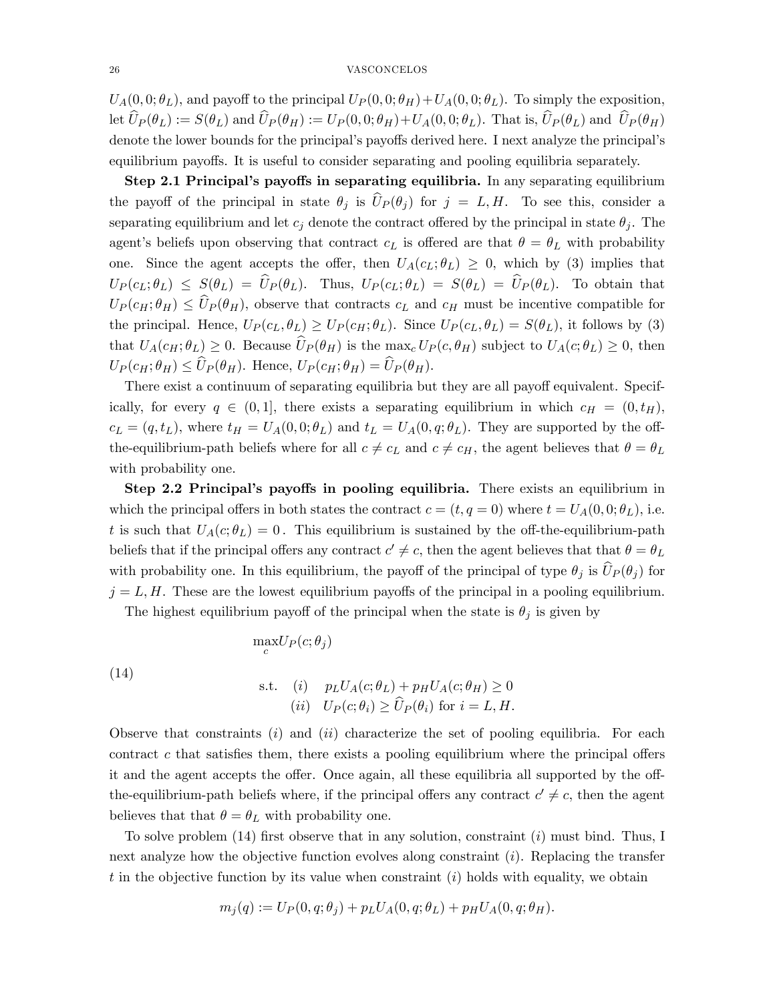$U_A(0,0;\theta_L)$ , and payoff to the principal  $U_P(0,0;\theta_H)+U_A(0,0;\theta_L)$ . To simply the exposition, let  $\widehat{U}_P(\theta_L) := S(\theta_L)$  and  $\widehat{U}_P(\theta_H) := U_P(0,0;\theta_H) + U_A(0,0;\theta_L)$ . That is,  $\widehat{U}_P(\theta_L)$  and  $\widehat{U}_P(\theta_H)$ denote the lower bounds for the principal's payoffs derived here. I next analyze the principal's equilibrium payoffs. It is useful to consider separating and pooling equilibria separately.

Step 2.1 Principal's payoffs in separating equilibria. In any separating equilibrium the payoff of the principal in state  $\theta_j$  is  $\widehat{U}_P (\theta_j )$  for  $j = L, H$ . To see this, consider a separating equilibrium and let  $c_j$  denote the contract offered by the principal in state  $\theta_j$ . The agent's beliefs upon observing that contract  $c<sub>L</sub>$  is offered are that  $\theta = \theta<sub>L</sub>$  with probability one. Since the agent accepts the offer, then  $U_A(c_L; \theta_L) \geq 0$ , which by (3) implies that  $U_P(c_L;\theta_L) \leq S(\theta_L) = \hat{U}_P(\theta_L)$ . Thus,  $U_P(c_L;\theta_L) = S(\theta_L) = \hat{U}_P(\theta_L)$ . To obtain that  $U_P(c_H;\theta_H) \leq \hat{U}_P(\theta_H)$ , observe that contracts  $c_L$  and  $c_H$  must be incentive compatible for the principal. Hence,  $U_P(c_L, \theta_L) \geq U_P(c_H; \theta_L)$ . Since  $U_P(c_L, \theta_L) = S(\theta_L)$ , it follows by (3) that  $U_A(c_H; \theta_L) \geq 0$ . Because  $\widehat{U}_P(\theta_H)$  is the max<sub>c</sub>  $U_P(c, \theta_H)$  subject to  $U_A(c; \theta_L) \geq 0$ , then  $U_P(c_H;\theta_H) \leq \widehat{U}_P(\theta_H)$ . Hence,  $U_P(c_H;\theta_H) = \widehat{U}_P(\theta_H)$ .

There exist a continuum of separating equilibria but they are all payoff equivalent. Specifically, for every  $q \in (0, 1]$ , there exists a separating equilibrium in which  $c_H = (0, t_H)$ ,  $c_L = (q, t_L)$ , where  $t_H = U_A(0, 0; \theta_L)$  and  $t_L = U_A(0, q; \theta_L)$ . They are supported by the offthe-equilibrium-path beliefs where for all  $c \neq c_L$  and  $c \neq c_H$ , the agent believes that  $\theta = \theta_L$ with probability one.

Step 2.2 Principal's payoffs in pooling equilibria. There exists an equilibrium in which the principal offers in both states the contract  $c = (t, q = 0)$  where  $t = U_A(0, 0; \theta_L)$ , i.e. t is such that  $U_A(c;\theta_L) = 0$ . This equilibrium is sustained by the off-the-equilibrium-path beliefs that if the principal offers any contract  $c' \neq c$ , then the agent believes that that  $\theta = \theta_L$ with probability one. In this equilibrium, the payoff of the principal of type  $\theta_j$  is  $\widehat{U}_P (\theta_j)$  for  $j = L, H$ . These are the lowest equilibrium payoffs of the principal in a pooling equilibrium.

The highest equilibrium payoff of the principal when the state is  $\theta_j$  is given by

 $\max_{c} U_P(c; \theta_j)$ 

(14) s.t. (i) 
$$
p_L U_A(c; \theta_L) + p_H U_A(c; \theta_H) \ge 0
$$
  
\n(ii)  $U_P(c; \theta_i) \ge \widehat{U}_P(\theta_i)$  for  $i = L, H$ .

Observe that constraints  $(i)$  and  $(ii)$  characterize the set of pooling equilibria. For each contract c that satisfies them, there exists a pooling equilibrium where the principal offers it and the agent accepts the offer. Once again, all these equilibria all supported by the offthe-equilibrium-path beliefs where, if the principal offers any contract  $c' \neq c$ , then the agent believes that that  $\theta = \theta_L$  with probability one.

To solve problem  $(14)$  first observe that in any solution, constraint  $(i)$  must bind. Thus, I next analyze how the objective function evolves along constraint  $(i)$ . Replacing the transfer t in the objective function by its value when constraint  $(i)$  holds with equality, we obtain

$$
m_j(q) := U_P(0, q; \theta_j) + p_L U_A(0, q; \theta_L) + p_H U_A(0, q; \theta_H).
$$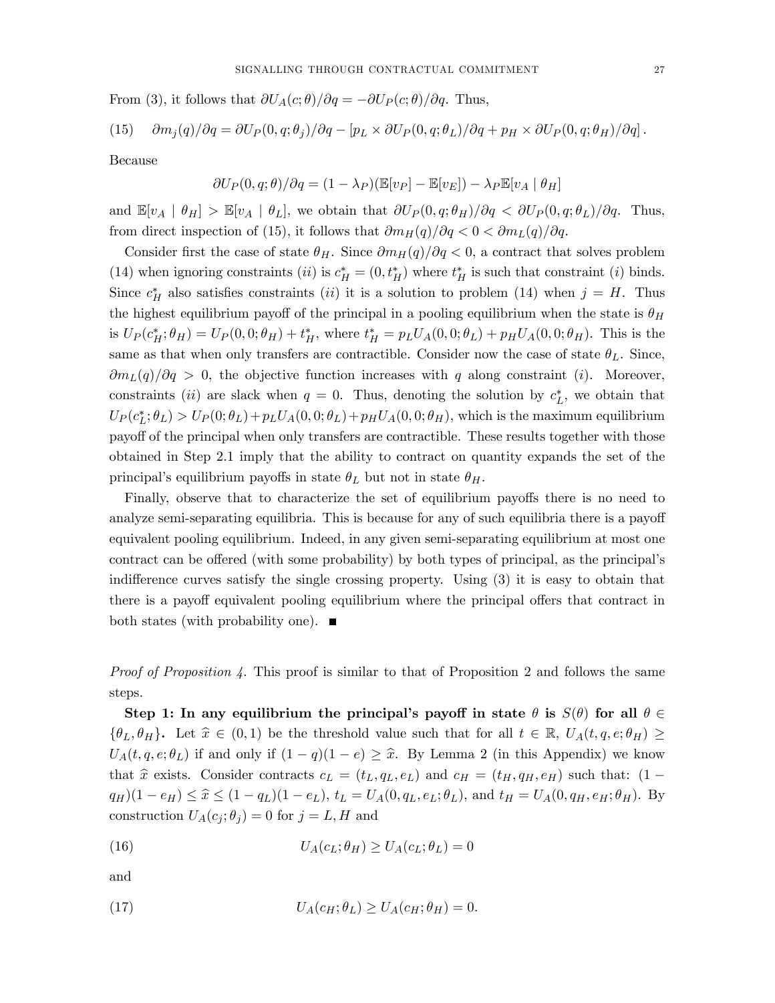From (3), it follows that  $\partial U_A(c; \theta)/\partial q = -\partial U_P(c; \theta)/\partial q$ . Thus,

(15) 
$$
\frac{\partial m_j(q)}{\partial q} = \frac{\partial U_P(0, q; \theta_j)}{\partial q} - \left[p_L \times \frac{\partial U_P(0, q; \theta_L)}{\partial q} + p_H \times \frac{\partial U_P(0, q; \theta_H)}{\partial q}\right].
$$

Because

$$
\partial U_P(0, q; \theta)/\partial q = (1 - \lambda_P)(\mathbb{E}[v_P] - \mathbb{E}[v_E]) - \lambda_P \mathbb{E}[v_A | \theta_H]
$$

and  $\mathbb{E}[v_A | \theta_H] > \mathbb{E}[v_A | \theta_L]$ , we obtain that  $\partial U_P(0, q; \theta_H)/\partial q < \partial U_P(0, q; \theta_L)/\partial q$ . Thus, from direct inspection of (15), it follows that  $\partial m_H(q)/\partial q < 0 < \partial m_L(q)/\partial q$ .

Consider first the case of state  $\theta_H$ . Since  $\partial m_H(q)/\partial q < 0$ , a contract that solves problem (14) when ignoring constraints (*ii*) is  $c_H^* = (0, t_H^*)$  where  $t_H^*$  is such that constraint (*i*) binds. Since  $c_H^*$  also satisfies constraints (*ii*) it is a solution to problem (14) when  $j = H$ . Thus the highest equilibrium payoff of the principal in a pooling equilibrium when the state is  $\theta_H$ is  $U_P(c_H^*; \theta_H) = U_P(0, 0; \theta_H) + t_H^*$ , where  $t_H^* = p_L U_A(0, 0; \theta_L) + p_H U_A(0, 0; \theta_H)$ . This is the same as that when only transfers are contractible. Consider now the case of state  $\theta_L$ . Since,  $\partial m_L(q)/\partial q > 0$ , the objective function increases with q along constraint (i). Moreover, constraints (*ii*) are slack when  $q = 0$ . Thus, denoting the solution by  $c_L^*$ , we obtain that  $U_P(c_L^*;\theta_L) > U_P(0;\theta_L)+p_LU_A(0,0;\theta_L)+p_HU_A(0,0;\theta_H)$ , which is the maximum equilibrium payoff of the principal when only transfers are contractible. These results together with those obtained in Step 2.1 imply that the ability to contract on quantity expands the set of the principal's equilibrium payoffs in state  $\theta_L$  but not in state  $\theta_H$ .

Finally, observe that to characterize the set of equilibrium payoffs there is no need to analyze semi-separating equilibria. This is because for any of such equilibria there is a payoff equivalent pooling equilibrium. Indeed, in any given semi-separating equilibrium at most one contract can be offered (with some probability) by both types of principal, as the principal's indifference curves satisfy the single crossing property. Using  $(3)$  it is easy to obtain that there is a payoff equivalent pooling equilibrium where the principal offers that contract in both states (with probability one).  $\blacksquare$ 

*Proof of Proposition 4.* This proof is similar to that of Proposition 2 and follows the same steps.

Step 1: In any equilibrium the principal's payoff in state  $\theta$  is  $S(\theta)$  for all  $\theta \in$  $\{\theta_L, \theta_H\}$ . Let  $\hat{x} \in (0, 1)$  be the threshold value such that for all  $t \in \mathbb{R}$ ,  $U_A(t, q, e; \theta_H) \ge$  $U_A(t, q, e; \theta_L)$  if and only if  $(1 - q)(1 - e) \geq \hat{x}$ . By Lemma 2 (in this Appendix) we know that  $\hat{x}$  exists. Consider contracts  $c_L = (t_L, q_L, e_L)$  and  $c_H = (t_H, q_H, e_H)$  such that: (1 –  $q_H(1 - e_H) \leq \hat{x} \leq (1 - q_L)(1 - e_L), t_L = U_A(0, q_L, e_L; \theta_L),$  and  $t_H = U_A(0, q_H, e_H; \theta_H)$ . By construction  $U_A(c_i; \theta_i) = 0$  for  $j = L, H$  and

(16) 
$$
U_A(c_L; \theta_H) \ge U_A(c_L; \theta_L) = 0
$$

and

(17) 
$$
U_A(c_H; \theta_L) \ge U_A(c_H; \theta_H) = 0.
$$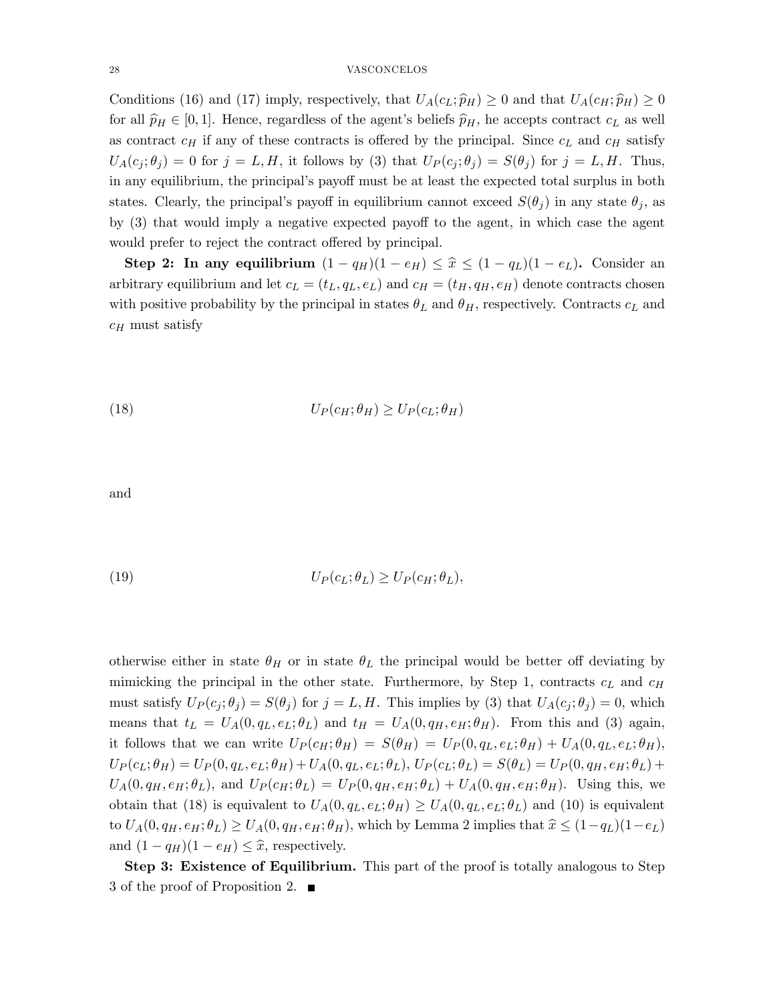Conditions (16) and (17) imply, respectively, that  $U_A(c_L; \hat{p}_H) \geq 0$  and that  $U_A(c_H; \hat{p}_H) \geq 0$ for all  $\hat{p}_H \in [0, 1]$ . Hence, regardless of the agent's beliefs  $\hat{p}_H$ , he accepts contract  $c_L$  as well as contract  $c_H$  if any of these contracts is offered by the principal. Since  $c_L$  and  $c_H$  satisfy  $U_A(c_j;\theta_j) = 0$  for  $j = L, H$ , it follows by (3) that  $U_P(c_j;\theta_j) = S(\theta_j)$  for  $j = L, H$ . Thus, in any equilibrium, the principal's payoff must be at least the expected total surplus in both states. Clearly, the principal's payoff in equilibrium cannot exceed  $S(\theta_i)$  in any state  $\theta_i$ , as by  $(3)$  that would imply a negative expected payoff to the agent, in which case the agent would prefer to reject the contract offered by principal.

Step 2: In any equilibrium  $(1 - q_H)(1 - e_H) \leq \hat{x} \leq (1 - q_L)(1 - e_L)$ . Consider an arbitrary equilibrium and let  $c_L = (t_L, q_L, e_L)$  and  $c_H = (t_H, q_H, e_H)$  denote contracts chosen with positive probability by the principal in states  $\theta_L$  and  $\theta_H$ , respectively. Contracts  $c_L$  and  $c_H$  must satisfy

(18) 
$$
U_P(c_H; \theta_H) \geq U_P(c_L; \theta_H)
$$

and

(19) 
$$
U_P(c_L; \theta_L) \geq U_P(c_H; \theta_L),
$$

otherwise either in state  $\theta_H$  or in state  $\theta_L$  the principal would be better off deviating by mimicking the principal in the other state. Furthermore, by Step 1, contracts  $c<sub>L</sub>$  and  $c<sub>H</sub>$ must satisfy  $U_P(c_j;\theta_j) = S(\theta_j)$  for  $j = L, H$ . This implies by (3) that  $U_A(c_j;\theta_j) = 0$ , which means that  $t_L = U_A(0, q_L, e_L; \theta_L)$  and  $t_H = U_A(0, q_H, e_H; \theta_H)$ . From this and (3) again, it follows that we can write  $U_P(c_H; \theta_H) = S(\theta_H) = U_P(0, q_L, e_L; \theta_H) + U_A(0, q_L, e_L; \theta_H),$  $U_P(c_L;\theta_H) = U_P(0,q_L,e_L;\theta_H) + U_A(0,q_L,e_L;\theta_L),$   $U_P(c_L;\theta_L) = S(\theta_L) = U_P(0,q_H,e_H;\theta_L) + U_A(0,q_H,e_L;\theta_L)$  $U_A(0,q_H,e_H;\theta_L)$ , and  $U_P(c_H;\theta_L) = U_P(0,q_H,e_H;\theta_L) + U_A(0,q_H,e_H;\theta_H)$ . Using this, we obtain that (18) is equivalent to  $U_A(0, q_L, e_L; \theta_H) \geq U_A(0, q_L, e_L; \theta_L)$  and (10) is equivalent to  $U_A(0, q_H, e_H; \theta_L) \ge U_A(0, q_H, e_H; \theta_H)$ , which by Lemma 2 implies that  $\hat{x} \le (1-q_L)(1-e_L)$ and  $(1 - q_H)(1 - e_H) \leq \hat{x}$ , respectively.

Step 3: Existence of Equilibrium. This part of the proof is totally analogous to Step 3 of the proof of Proposition 2.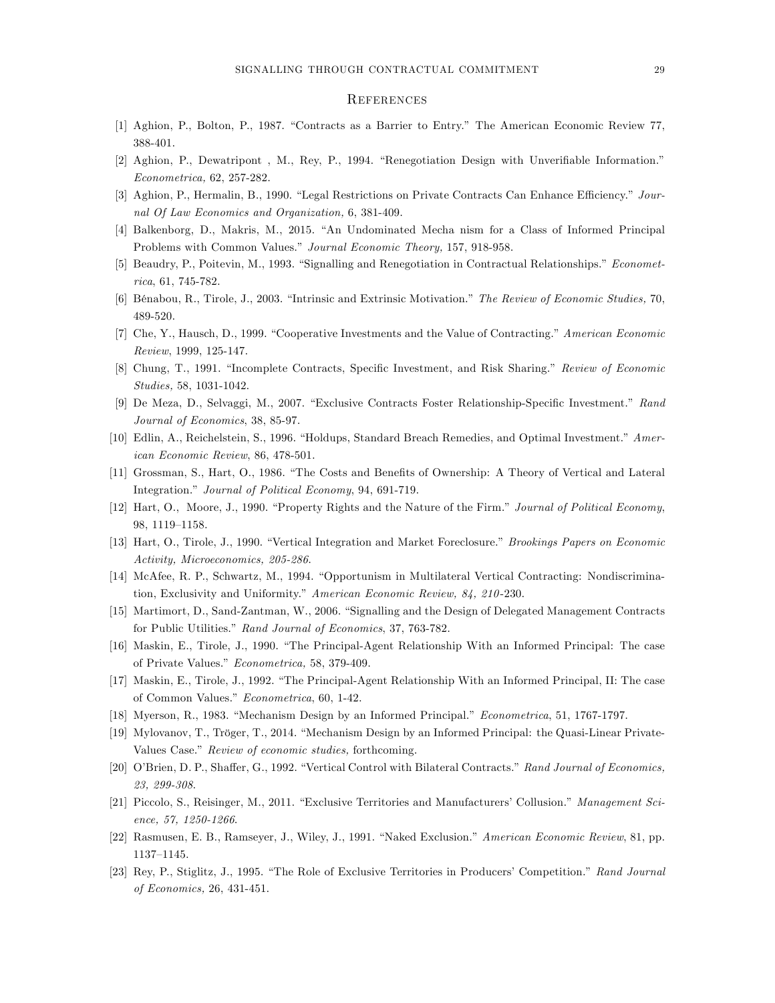#### **REFERENCES**

- [1] Aghion, P., Bolton, P., 1987. "Contracts as a Barrier to Entry." The American Economic Review 77, 388-401.
- [2] Aghion, P., Dewatripont, M., Rey, P., 1994. "Renegotiation Design with Unverifiable Information." Econometrica, 62, 257-282.
- [3] Aghion, P., Hermalin, B., 1990. "Legal Restrictions on Private Contracts Can Enhance Efficiency." Journal Of Law Economics and Organization, 6, 381-409.
- [4] Balkenborg, D., Makris, M., 2015. "An Undominated Mecha nism for a Class of Informed Principal Problems with Common Values." Journal Economic Theory, 157, 918-958.
- [5] Beaudry, P., Poitevin, M., 1993. "Signalling and Renegotiation in Contractual Relationships." Econometrica, 61, 745-782.
- [6] Bénabou, R., Tirole, J., 2003. "Intrinsic and Extrinsic Motivation." The Review of Economic Studies, 70, 489-520.
- [7] Che, Y., Hausch, D., 1999. "Cooperative Investments and the Value of Contracting." American Economic Review, 1999, 125-147.
- [8] Chung, T., 1991. "Incomplete Contracts, Specific Investment, and Risk Sharing." Review of Economic Studies, 58, 1031-1042.
- [9] De Meza, D., Selvaggi, M., 2007. "Exclusive Contracts Foster Relationship-Specific Investment." Rand Journal of Economics, 38, 85-97.
- [10] Edlin, A., Reichelstein, S., 1996. "Holdups, Standard Breach Remedies, and Optimal Investment." American Economic Review, 86, 478-501.
- [11] Grossman, S., Hart, O., 1986. "The Costs and Benefits of Ownership: A Theory of Vertical and Lateral Integration." Journal of Political Economy, 94, 691-719.
- [12] Hart, O., Moore, J., 1990. "Property Rights and the Nature of the Firm." Journal of Political Economy, 98, 1119-1158.
- [13] Hart, O., Tirole, J., 1990. "Vertical Integration and Market Foreclosure." *Brookings Papers on Economic* Activity, Microeconomics, 205-286.
- [14] McAfee, R. P., Schwartz, M., 1994. "Opportunism in Multilateral Vertical Contracting: Nondiscrimination, Exclusivity and Uniformity." American Economic Review, 84, 210-230.
- [15] Martimort, D., Sand-Zantman, W., 2006. "Signalling and the Design of Delegated Management Contracts for Public Utilities." Rand Journal of Economics, 37, 763-782.
- [16] Maskin, E., Tirole, J., 1990. "The Principal-Agent Relationship With an Informed Principal: The case of Private Values." Econometrica, 58, 379-409.
- [17] Maskin, E., Tirole, J., 1992. "The Principal-Agent Relationship With an Informed Principal, II: The case of Common Values." Econometrica, 60, 1-42.
- [18] Myerson, R., 1983. "Mechanism Design by an Informed Principal." *Econometrica*, 51, 1767-1797.
- [19] Mylovanov, T., Tröger, T., 2014. "Mechanism Design by an Informed Principal: the Quasi-Linear Private-Values Case." Review of economic studies, forthcoming.
- [20] O'Brien, D. P., Shaffer, G., 1992. "Vertical Control with Bilateral Contracts." Rand Journal of Economics, 23, 299-308.
- [21] Piccolo, S., Reisinger, M., 2011. "Exclusive Territories and Manufacturers' Collusion." Management Science, 57, 1250-1266.
- [22] Rasmusen, E. B., Ramseyer, J., Wiley, J., 1991. "Naked Exclusion." American Economic Review, 81, pp. 1137-1145.
- [23] Rey, P., Stiglitz, J., 1995. "The Role of Exclusive Territories in Producers' Competition." Rand Journal of Economics, 26, 431-451.